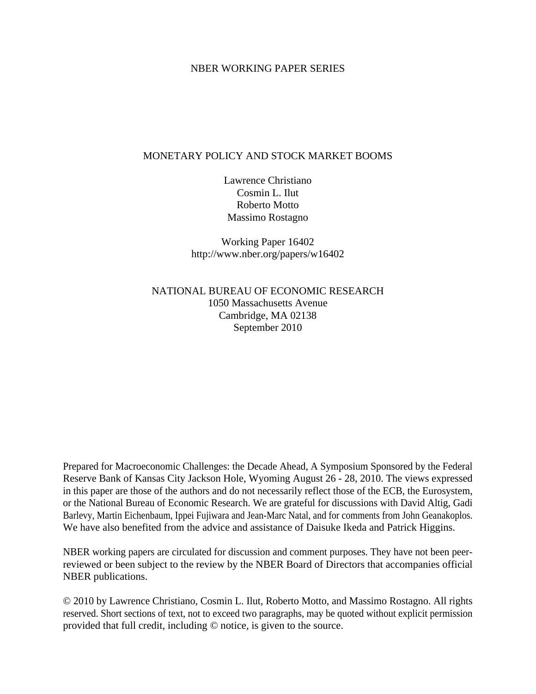### NBER WORKING PAPER SERIES

### MONETARY POLICY AND STOCK MARKET BOOMS

Lawrence Christiano Cosmin L. Ilut Roberto Motto Massimo Rostagno

Working Paper 16402 http://www.nber.org/papers/w16402

NATIONAL BUREAU OF ECONOMIC RESEARCH 1050 Massachusetts Avenue Cambridge, MA 02138 September 2010

Prepared for Macroeconomic Challenges: the Decade Ahead, A Symposium Sponsored by the Federal Reserve Bank of Kansas City Jackson Hole, Wyoming August 26 - 28, 2010. The views expressed in this paper are those of the authors and do not necessarily reflect those of the ECB, the Eurosystem, or the National Bureau of Economic Research. We are grateful for discussions with David Altig, Gadi Barlevy, Martin Eichenbaum, Ippei Fujiwara and Jean-Marc Natal, and for comments from John Geanakoplos. We have also benefited from the advice and assistance of Daisuke Ikeda and Patrick Higgins.

NBER working papers are circulated for discussion and comment purposes. They have not been peerreviewed or been subject to the review by the NBER Board of Directors that accompanies official NBER publications.

© 2010 by Lawrence Christiano, Cosmin L. Ilut, Roberto Motto, and Massimo Rostagno. All rights reserved. Short sections of text, not to exceed two paragraphs, may be quoted without explicit permission provided that full credit, including © notice, is given to the source.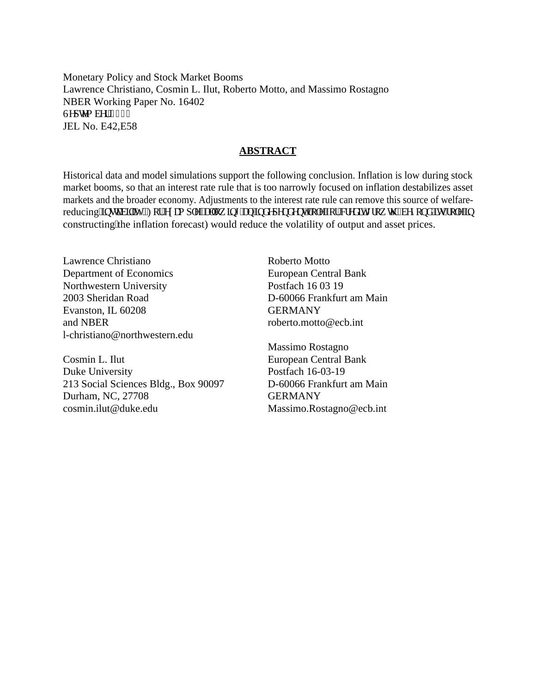Monetary Policy and Stock Market Booms Lawrence Christiano, Cosmin L. Ilut, Roberto Motto, and Massimo Rostagno NBER Working Paper No. 16402 Ugr vgo dgt  $4232$ JEL No. E42,E58

### **ABSTRACT**

Historical data and model simulations support the following conclusion. Inflation is low during stock market booms, so that an interest rate rule that is too narrowly focused on inflation destabilizes asset markets and the broader economy. Adjustments to the interest rate rule can remove this source of welfarereducing'lpuxdkky{0Hqt'gzco r ng.'cmqy kpi ''cp'lonf gr gpf gpv'tqng'hqt''etgf kv'i tqy yi ''\*dg{qpf 'ku'tqng'lp constructing'the inflation forecast) would reduce the volatility of output and asset prices.

Lawrence Christiano Department of Economics Northwestern University 2003 Sheridan Road Evanston, IL 60208 and NBER l-christiano@northwestern.edu

Cosmin L. Ilut Duke University 213 Social Sciences Bldg., Box 90097 Durham, NC, 27708 cosmin.ilut@duke.edu

Roberto Motto European Central Bank Postfach 16 03 19 D-60066 Frankfurt am Main GERMANY roberto.motto@ecb.int

Massimo Rostagno European Central Bank Postfach 16-03-19 D-60066 Frankfurt am Main **GERMANY** Massimo.Rostagno@ecb.int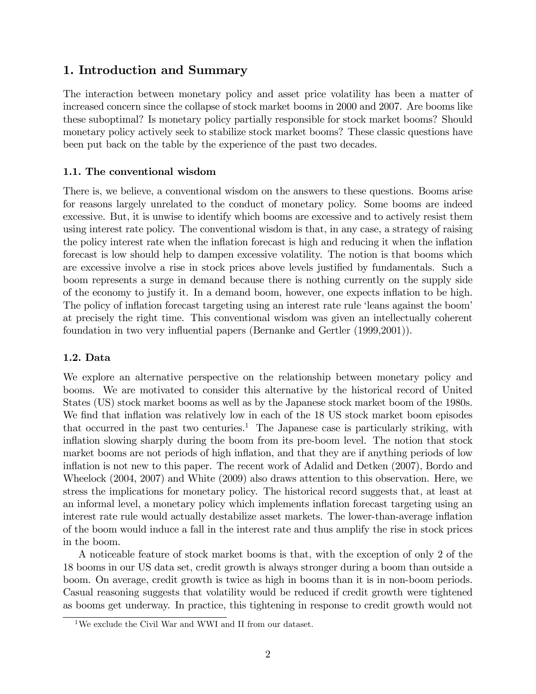# 1. Introduction and Summary

The interaction between monetary policy and asset price volatility has been a matter of increased concern since the collapse of stock market booms in 2000 and 2007. Are booms like these suboptimal? Is monetary policy partially responsible for stock market booms? Should monetary policy actively seek to stabilize stock market booms? These classic questions have been put back on the table by the experience of the past two decades.

# 1.1. The conventional wisdom

There is, we believe, a conventional wisdom on the answers to these questions. Booms arise for reasons largely unrelated to the conduct of monetary policy. Some booms are indeed excessive. But, it is unwise to identify which booms are excessive and to actively resist them using interest rate policy. The conventional wisdom is that, in any case, a strategy of raising the policy interest rate when the inflation forecast is high and reducing it when the inflation forecast is low should help to dampen excessive volatility. The notion is that booms which are excessive involve a rise in stock prices above levels justified by fundamentals. Such a boom represents a surge in demand because there is nothing currently on the supply side of the economy to justify it. In a demand boom, however, one expects ináation to be high. The policy of inflation forecast targeting using an interest rate rule 'leans against the boom' at precisely the right time. This conventional wisdom was given an intellectually coherent foundation in two very influential papers (Bernanke and Gertler (1999,2001)).

# 1.2. Data

We explore an alternative perspective on the relationship between monetary policy and booms. We are motivated to consider this alternative by the historical record of United States (US) stock market booms as well as by the Japanese stock market boom of the 1980s. We find that inflation was relatively low in each of the 18 US stock market boom episodes that occurred in the past two centuries.<sup>1</sup> The Japanese case is particularly striking, with inflation slowing sharply during the boom from its pre-boom level. The notion that stock market booms are not periods of high inflation, and that they are if anything periods of low inflation is not new to this paper. The recent work of Adalid and Detken (2007), Bordo and Wheelock (2004, 2007) and White (2009) also draws attention to this observation. Here, we stress the implications for monetary policy. The historical record suggests that, at least at an informal level, a monetary policy which implements inflation forecast targeting using an interest rate rule would actually destabilize asset markets. The lower-than-average inflation of the boom would induce a fall in the interest rate and thus amplify the rise in stock prices in the boom.

A noticeable feature of stock market booms is that, with the exception of only 2 of the 18 booms in our US data set, credit growth is always stronger during a boom than outside a boom. On average, credit growth is twice as high in booms than it is in non-boom periods. Casual reasoning suggests that volatility would be reduced if credit growth were tightened as booms get underway. In practice, this tightening in response to credit growth would not

 ${}^{1}\mathrm{We}$  exclude the Civil War and WWI and II from our dataset.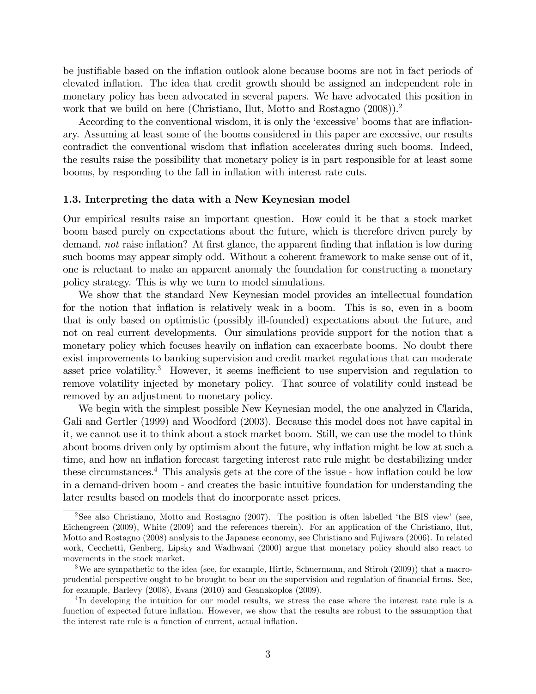be justifiable based on the inflation outlook alone because booms are not in fact periods of elevated inflation. The idea that credit growth should be assigned an independent role in monetary policy has been advocated in several papers. We have advocated this position in work that we build on here (Christiano, Ilut, Motto and Rostagno (2008)).<sup>2</sup>

According to the conventional wisdom, it is only the 'excessive' booms that are inflationary. Assuming at least some of the booms considered in this paper are excessive, our results contradict the conventional wisdom that inflation accelerates during such booms. Indeed, the results raise the possibility that monetary policy is in part responsible for at least some booms, by responding to the fall in inflation with interest rate cuts.

### 1.3. Interpreting the data with a New Keynesian model

Our empirical results raise an important question. How could it be that a stock market boom based purely on expectations about the future, which is therefore driven purely by demand, not raise inflation? At first glance, the apparent finding that inflation is low during such booms may appear simply odd. Without a coherent framework to make sense out of it, one is reluctant to make an apparent anomaly the foundation for constructing a monetary policy strategy. This is why we turn to model simulations.

We show that the standard New Keynesian model provides an intellectual foundation for the notion that inflation is relatively weak in a boom. This is so, even in a boom that is only based on optimistic (possibly ill-founded) expectations about the future, and not on real current developments. Our simulations provide support for the notion that a monetary policy which focuses heavily on inflation can exacerbate booms. No doubt there exist improvements to banking supervision and credit market regulations that can moderate asset price volatility.<sup>3</sup> However, it seems inefficient to use supervision and regulation to remove volatility injected by monetary policy. That source of volatility could instead be removed by an adjustment to monetary policy.

We begin with the simplest possible New Keynesian model, the one analyzed in Clarida, Gali and Gertler (1999) and Woodford (2003). Because this model does not have capital in it, we cannot use it to think about a stock market boom. Still, we can use the model to think about booms driven only by optimism about the future, why inflation might be low at such a time, and how an inflation forecast targeting interest rate rule might be destabilizing under these circumstances.<sup>4</sup> This analysis gets at the core of the issue - how inflation could be low in a demand-driven boom - and creates the basic intuitive foundation for understanding the later results based on models that do incorporate asset prices.

<sup>&</sup>lt;sup>2</sup>See also Christiano, Motto and Rostagno (2007). The position is often labelled 'the BIS view' (see, Eichengreen (2009), White (2009) and the references therein). For an application of the Christiano, Ilut, Motto and Rostagno (2008) analysis to the Japanese economy, see Christiano and Fujiwara (2006). In related work, Cecchetti, Genberg, Lipsky and Wadhwani (2000) argue that monetary policy should also react to movements in the stock market.

<sup>3</sup>We are sympathetic to the idea (see, for example, Hirtle, Schuermann, and Stiroh (2009)) that a macroprudential perspective ought to be brought to bear on the supervision and regulation of financial firms. See, for example, Barlevy (2008), Evans (2010) and Geanakoplos (2009).

<sup>&</sup>lt;sup>4</sup>In developing the intuition for our model results, we stress the case where the interest rate rule is a function of expected future inflation. However, we show that the results are robust to the assumption that the interest rate rule is a function of current, actual inflation.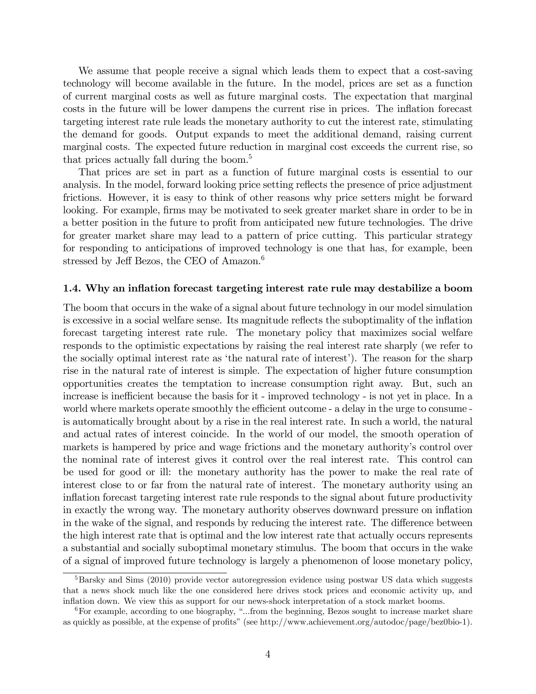We assume that people receive a signal which leads them to expect that a cost-saving technology will become available in the future. In the model, prices are set as a function of current marginal costs as well as future marginal costs. The expectation that marginal costs in the future will be lower dampens the current rise in prices. The inflation forecast targeting interest rate rule leads the monetary authority to cut the interest rate, stimulating the demand for goods. Output expands to meet the additional demand, raising current marginal costs. The expected future reduction in marginal cost exceeds the current rise, so that prices actually fall during the boom.<sup>5</sup>

That prices are set in part as a function of future marginal costs is essential to our analysis. In the model, forward looking price setting reflects the presence of price adjustment frictions. However, it is easy to think of other reasons why price setters might be forward looking. For example, firms may be motivated to seek greater market share in order to be in a better position in the future to profit from anticipated new future technologies. The drive for greater market share may lead to a pattern of price cutting. This particular strategy for responding to anticipations of improved technology is one that has, for example, been stressed by Jeff Bezos, the CEO of  $\rm A$ mazon.<sup>6</sup>

### 1.4. Why an inflation forecast targeting interest rate rule may destabilize a boom

The boom that occurs in the wake of a signal about future technology in our model simulation is excessive in a social welfare sense. Its magnitude reflects the suboptimality of the inflation forecast targeting interest rate rule. The monetary policy that maximizes social welfare responds to the optimistic expectations by raising the real interest rate sharply (we refer to the socially optimal interest rate as 'the natural rate of interest'). The reason for the sharp rise in the natural rate of interest is simple. The expectation of higher future consumption opportunities creates the temptation to increase consumption right away. But, such an increase is inefficient because the basis for it - improved technology - is not yet in place. In a world where markets operate smoothly the efficient outcome - a delay in the urge to consume is automatically brought about by a rise in the real interest rate. In such a world, the natural and actual rates of interest coincide. In the world of our model, the smooth operation of markets is hampered by price and wage frictions and the monetary authority's control over the nominal rate of interest gives it control over the real interest rate. This control can be used for good or ill: the monetary authority has the power to make the real rate of interest close to or far from the natural rate of interest. The monetary authority using an inflation forecast targeting interest rate rule responds to the signal about future productivity in exactly the wrong way. The monetary authority observes downward pressure on ináation in the wake of the signal, and responds by reducing the interest rate. The difference between the high interest rate that is optimal and the low interest rate that actually occurs represents a substantial and socially suboptimal monetary stimulus. The boom that occurs in the wake of a signal of improved future technology is largely a phenomenon of loose monetary policy,

<sup>&</sup>lt;sup>5</sup>Barsky and Sims (2010) provide vector autoregression evidence using postwar US data which suggests that a news shock much like the one considered here drives stock prices and economic activity up, and ináation down. We view this as support for our news-shock interpretation of a stock market booms.

 ${}^{6}$  For example, according to one biography, "...from the beginning, Bezos sought to increase market share as quickly as possible, at the expense of profits" (see http://www.achievement.org/autodoc/page/bez0bio-1).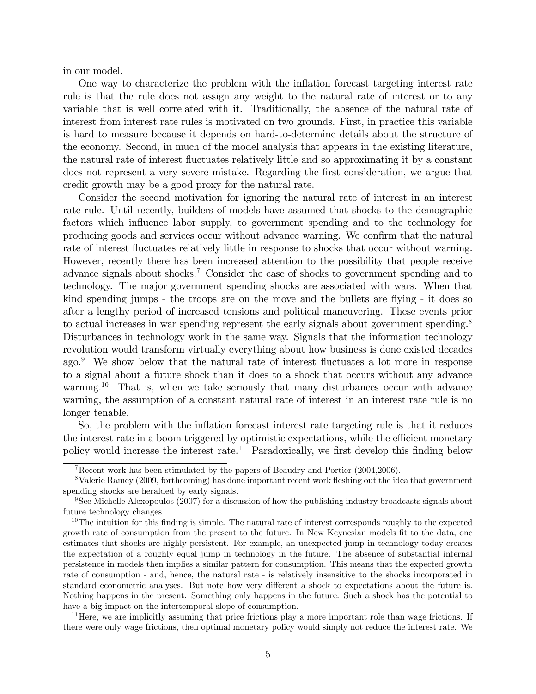in our model.

One way to characterize the problem with the inflation forecast targeting interest rate rule is that the rule does not assign any weight to the natural rate of interest or to any variable that is well correlated with it. Traditionally, the absence of the natural rate of interest from interest rate rules is motivated on two grounds. First, in practice this variable is hard to measure because it depends on hard-to-determine details about the structure of the economy. Second, in much of the model analysis that appears in the existing literature, the natural rate of interest áuctuates relatively little and so approximating it by a constant does not represent a very severe mistake. Regarding the Örst consideration, we argue that credit growth may be a good proxy for the natural rate.

Consider the second motivation for ignoring the natural rate of interest in an interest rate rule. Until recently, builders of models have assumed that shocks to the demographic factors which influence labor supply, to government spending and to the technology for producing goods and services occur without advance warning. We confirm that the natural rate of interest fluctuates relatively little in response to shocks that occur without warning. However, recently there has been increased attention to the possibility that people receive advance signals about shocks.<sup>7</sup> Consider the case of shocks to government spending and to technology. The major government spending shocks are associated with wars. When that kind spending jumps - the troops are on the move and the bullets are flying - it does so after a lengthy period of increased tensions and political maneuvering. These events prior to actual increases in war spending represent the early signals about government spending.<sup>8</sup> Disturbances in technology work in the same way. Signals that the information technology revolution would transform virtually everything about how business is done existed decades ago.<sup>9</sup> We show below that the natural rate of interest fluctuates a lot more in response to a signal about a future shock than it does to a shock that occurs without any advance warning.<sup>10</sup> That is, when we take seriously that many disturbances occur with advance warning, the assumption of a constant natural rate of interest in an interest rate rule is no longer tenable.

So, the problem with the inflation forecast interest rate targeting rule is that it reduces the interest rate in a boom triggered by optimistic expectations, while the efficient monetary policy would increase the interest rate.<sup>11</sup> Paradoxically, we first develop this finding below

 $11$  Here, we are implicitly assuming that price frictions play a more important role than wage frictions. If there were only wage frictions, then optimal monetary policy would simply not reduce the interest rate. We

<sup>&</sup>lt;sup>7</sup>Recent work has been stimulated by the papers of Beaudry and Portier  $(2004, 2006)$ .

<sup>&</sup>lt;sup>8</sup>Valerie Ramey (2009, forthcoming) has done important recent work fleshing out the idea that government spending shocks are heralded by early signals.

<sup>9</sup>See Michelle Alexopoulos (2007) for a discussion of how the publishing industry broadcasts signals about future technology changes.

 $10$ The intuition for this finding is simple. The natural rate of interest corresponds roughly to the expected growth rate of consumption from the present to the future. In New Keynesian models fit to the data, one estimates that shocks are highly persistent. For example, an unexpected jump in technology today creates the expectation of a roughly equal jump in technology in the future. The absence of substantial internal persistence in models then implies a similar pattern for consumption. This means that the expected growth rate of consumption - and, hence, the natural rate - is relatively insensitive to the shocks incorporated in standard econometric analyses. But note how very different a shock to expectations about the future is. Nothing happens in the present. Something only happens in the future. Such a shock has the potential to have a big impact on the intertemporal slope of consumption.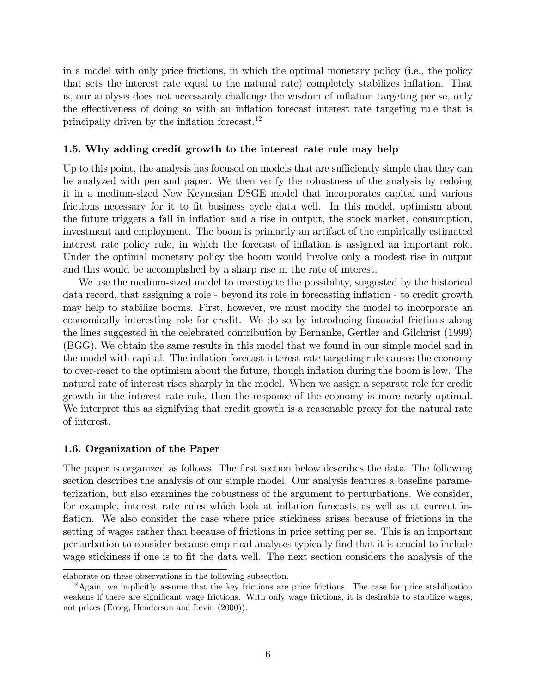in a model with only price frictions, in which the optimal monetary policy (i.e., the policy that sets the interest rate equal to the natural rate) completely stabilizes inflation. That is, our analysis does not necessarily challenge the wisdom of inflation targeting per se, only the effectiveness of doing so with an inflation forecast interest rate targeting rule that is principally driven by the inflation forecast.<sup>12</sup>

### 1.5. Why adding credit growth to the interest rate rule may help

Up to this point, the analysis has focused on models that are sufficiently simple that they can be analyzed with pen and paper. We then verify the robustness of the analysis by redoing it in a medium-sized New Keynesian DSGE model that incorporates capital and various frictions necessary for it to fit business cycle data well. In this model, optimism about the future triggers a fall in ináation and a rise in output, the stock market, consumption, investment and employment. The boom is primarily an artifact of the empirically estimated interest rate policy rule, in which the forecast of inflation is assigned an important role. Under the optimal monetary policy the boom would involve only a modest rise in output and this would be accomplished by a sharp rise in the rate of interest.

We use the medium-sized model to investigate the possibility, suggested by the historical data record, that assigning a role - beyond its role in forecasting inflation - to credit growth may help to stabilize booms. First, however, we must modify the model to incorporate an economically interesting role for credit. We do so by introducing financial frictions along the lines suggested in the celebrated contribution by Bernanke, Gertler and Gilchrist (1999) (BGG). We obtain the same results in this model that we found in our simple model and in the model with capital. The inflation forecast interest rate targeting rule causes the economy to over-react to the optimism about the future, though ináation during the boom is low. The natural rate of interest rises sharply in the model. When we assign a separate role for credit growth in the interest rate rule, then the response of the economy is more nearly optimal. We interpret this as signifying that credit growth is a reasonable proxy for the natural rate of interest.

### 1.6. Organization of the Paper

The paper is organized as follows. The first section below describes the data. The following section describes the analysis of our simple model. Our analysis features a baseline parameterization, but also examines the robustness of the argument to perturbations. We consider, for example, interest rate rules which look at inflation forecasts as well as at current inflation. We also consider the case where price stickiness arises because of frictions in the setting of wages rather than because of frictions in price setting per se. This is an important perturbation to consider because empirical analyses typically find that it is crucial to include wage stickiness if one is to fit the data well. The next section considers the analysis of the

elaborate on these observations in the following subsection.

 $12$ Again, we implicitly assume that the key frictions are price frictions. The case for price stabilization weakens if there are significant wage frictions. With only wage frictions, it is desirable to stabilize wages, not prices (Erceg, Henderson and Levin (2000)).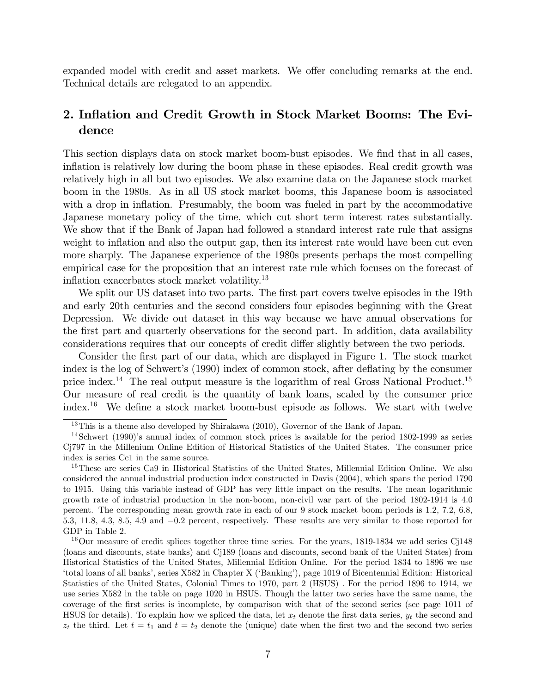expanded model with credit and asset markets. We offer concluding remarks at the end. Technical details are relegated to an appendix.

# 2. Inflation and Credit Growth in Stock Market Booms: The Evidence

This section displays data on stock market boom-bust episodes. We find that in all cases, inflation is relatively low during the boom phase in these episodes. Real credit growth was relatively high in all but two episodes. We also examine data on the Japanese stock market boom in the 1980s. As in all US stock market booms, this Japanese boom is associated with a drop in inflation. Presumably, the boom was fueled in part by the accommodative Japanese monetary policy of the time, which cut short term interest rates substantially. We show that if the Bank of Japan had followed a standard interest rate rule that assigns weight to inflation and also the output gap, then its interest rate would have been cut even more sharply. The Japanese experience of the 1980s presents perhaps the most compelling empirical case for the proposition that an interest rate rule which focuses on the forecast of inflation exacerbates stock market volatility. $13$ 

We split our US dataset into two parts. The first part covers twelve episodes in the 19th and early 20th centuries and the second considers four episodes beginning with the Great Depression. We divide out dataset in this way because we have annual observations for the first part and quarterly observations for the second part. In addition, data availability considerations requires that our concepts of credit differ slightly between the two periods.

Consider the first part of our data, which are displayed in Figure 1. The stock market index is the log of Schwert's (1990) index of common stock, after deflating by the consumer price index.<sup>14</sup> The real output measure is the logarithm of real Gross National Product.<sup>15</sup> Our measure of real credit is the quantity of bank loans, scaled by the consumer price index.<sup>16</sup> We define a stock market boom-bust episode as follows. We start with twelve

<sup>&</sup>lt;sup>13</sup>This is a theme also developed by Shirakawa (2010), Governor of the Bank of Japan.

 $14$ Schwert (1990)'s annual index of common stock prices is available for the period 1802-1999 as series Cj797 in the Millenium Online Edition of Historical Statistics of the United States. The consumer price index is series Cc1 in the same source.

<sup>&</sup>lt;sup>15</sup>These are series Ca9 in Historical Statistics of the United States, Millennial Edition Online. We also considered the annual industrial production index constructed in Davis (2004), which spans the period 1790 to 1915. Using this variable instead of GDP has very little impact on the results. The mean logarithmic growth rate of industrial production in the non-boom, non-civil war part of the period 1802-1914 is 4.0 percent. The corresponding mean growth rate in each of our 9 stock market boom periods is 1:2; 7:2; 6:8; 5:3; 11:8; 4:3; 8:5; 4:9 and 0:2 percent, respectively. These results are very similar to those reported for GDP in Table 2.

<sup>&</sup>lt;sup>16</sup>Our measure of credit splices together three time series. For the years, 1819-1834 we add series C $148$ (loans and discounts, state banks) and Cj189 (loans and discounts, second bank of the United States) from Historical Statistics of the United States, Millennial Edition Online. For the period 1834 to 1896 we use ëtotal loans of all banksí, series X582 in Chapter X (ëBankingí), page 1019 of Bicentennial Edition: Historical Statistics of the United States, Colonial Times to 1970, part 2 (HSUS) . For the period 1896 to 1914, we use series X582 in the table on page 1020 in HSUS. Though the latter two series have the same name, the coverage of the first series is incomplete, by comparison with that of the second series (see page 1011 of HSUS for details). To explain how we spliced the data, let  $x_t$  denote the first data series,  $y_t$  the second and  $z_t$  the third. Let  $t = t_1$  and  $t = t_2$  denote the (unique) date when the first two and the second two series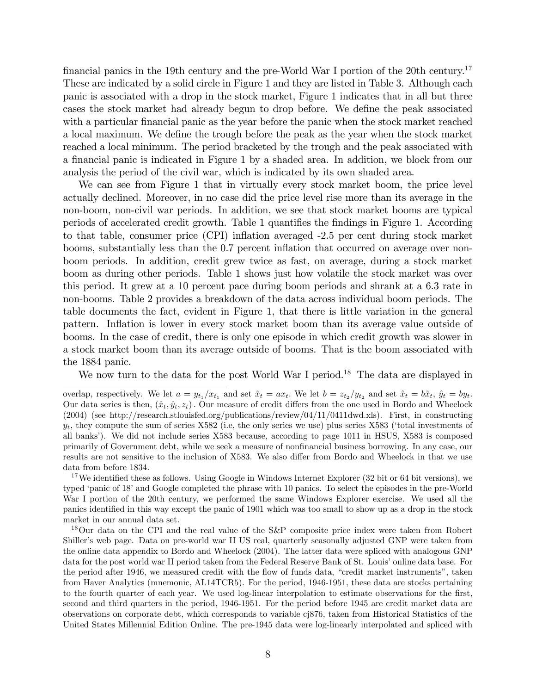financial panics in the 19th century and the pre-World War I portion of the 20th century.<sup>17</sup> These are indicated by a solid circle in Figure 1 and they are listed in Table 3. Although each panic is associated with a drop in the stock market, Figure 1 indicates that in all but three cases the stock market had already begun to drop before. We define the peak associated with a particular financial panic as the year before the panic when the stock market reached a local maximum. We define the trough before the peak as the year when the stock market reached a local minimum. The period bracketed by the trough and the peak associated with a financial panic is indicated in Figure 1 by a shaded area. In addition, we block from our analysis the period of the civil war, which is indicated by its own shaded area.

We can see from Figure 1 that in virtually every stock market boom, the price level actually declined. Moreover, in no case did the price level rise more than its average in the non-boom, non-civil war periods. In addition, we see that stock market booms are typical periods of accelerated credit growth. Table 1 quantifies the findings in Figure 1. According to that table, consumer price (CPI) inflation averaged -2.5 per cent during stock market booms, substantially less than the 0.7 percent inflation that occurred on average over nonboom periods. In addition, credit grew twice as fast, on average, during a stock market boom as during other periods. Table 1 shows just how volatile the stock market was over this period. It grew at a 10 percent pace during boom periods and shrank at a 6.3 rate in non-booms. Table 2 provides a breakdown of the data across individual boom periods. The table documents the fact, evident in Figure 1, that there is little variation in the general pattern. Ináation is lower in every stock market boom than its average value outside of booms. In the case of credit, there is only one episode in which credit growth was slower in a stock market boom than its average outside of booms. That is the boom associated with the 1884 panic.

We now turn to the data for the post World War I period.<sup>18</sup> The data are displayed in

<sup>17</sup>We identified these as follows. Using Google in Windows Internet Explorer (32 bit or 64 bit versions), we typed 'panic of 18' and Google completed the phrase with 10 panics. To select the episodes in the pre-World War I portion of the 20th century, we performed the same Windows Explorer exercise. We used all the panics identified in this way except the panic of 1901 which was too small to show up as a drop in the stock market in our annual data set.

<sup>18</sup>Our data on the CPI and the real value of the S&P composite price index were taken from Robert Shiller's web page. Data on pre-world war II US real, quarterly seasonally adjusted GNP were taken from the online data appendix to Bordo and Wheelock (2004). The latter data were spliced with analogous GNP data for the post world war II period taken from the Federal Reserve Bank of St. Louis' online data base. For the period after 1946, we measured credit with the flow of funds data, "credit market instruments", taken from Haver Analytics (mnemonic, AL14TCR5). For the period, 1946-1951, these data are stocks pertaining to the fourth quarter of each year. We used log-linear interpolation to estimate observations for the first, second and third quarters in the period, 1946-1951. For the period before 1945 are credit market data are observations on corporate debt, which corresponds to variable cj876, taken from Historical Statistics of the United States Millennial Edition Online. The pre-1945 data were log-linearly interpolated and spliced with

overlap, respectively. We let  $a = y_{t_1}/x_{t_1}$  and set  $\tilde{x}_t = ax_t$ . We let  $b = z_{t_2}/y_{t_2}$  and set  $\hat{x}_t = b\tilde{x}_t$ ,  $\hat{y}_t = by_t$ . Our data series is then,  $(\hat{x}_t, \hat{y}_t, z_t)$ . Our measure of credit differs from the one used in Bordo and Wheelock (2004) (see http://research.stlouisfed.org/publications/review/04/11/0411dwd.xls). First, in constructing  $y_t$ , they compute the sum of series X582 (i.e, the only series we use) plus series X583 ('total investments of all banks'). We did not include series X583 because, according to page 1011 in HSUS, X583 is composed primarily of Government debt, while we seek a measure of nonfinancial business borrowing. In any case, our results are not sensitive to the inclusion of X583. We also differ from Bordo and Wheelock in that we use data from before 1834.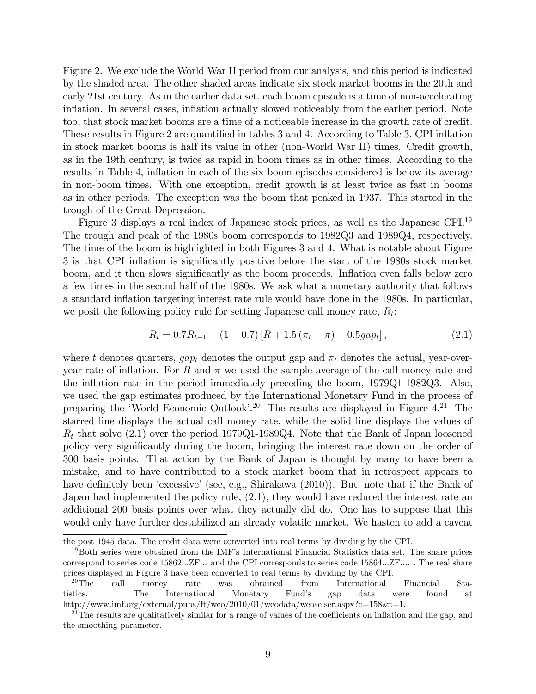Figure 2. We exclude the World War II period from our analysis, and this period is indicated by the shaded area. The other shaded areas indicate six stock market booms in the 20th and early 21st century. As in the earlier data set, each boom episode is a time of non-accelerating inflation. In several cases, inflation actually slowed noticeably from the earlier period. Note too, that stock market booms are a time of a noticeable increase in the growth rate of credit. These results in Figure 2 are quantified in tables 3 and 4. According to Table 3, CPI inflation in stock market booms is half its value in other (non-World War II) times. Credit growth, as in the 19th century, is twice as rapid in boom times as in other times. According to the results in Table 4, inflation in each of the six boom episodes considered is below its average in non-boom times. With one exception, credit growth is at least twice as fast in booms as in other periods. The exception was the boom that peaked in 1937. This started in the trough of the Great Depression.

Figure 3 displays a real index of Japanese stock prices, as well as the Japanese CPI.<sup>19</sup> The trough and peak of the 1980s boom corresponds to 1982Q3 and 1989Q4, respectively. The time of the boom is highlighted in both Figures 3 and 4. What is notable about Figure 3 is that CPI inflation is significantly positive before the start of the 1980s stock market boom, and it then slows significantly as the boom proceeds. Inflation even falls below zero a few times in the second half of the 1980s. We ask what a monetary authority that follows a standard inflation targeting interest rate rule would have done in the 1980s. In particular, we posit the following policy rule for setting Japanese call money rate,  $R_t$ :

$$
R_t = 0.7R_{t-1} + (1 - 0.7)[R + 1.5(\pi_t - \pi) + 0.5gap_t],
$$
\n(2.1)

where t denotes quarters,  $gap_t$  denotes the output gap and  $\pi_t$  denotes the actual, year-overyear rate of inflation. For R and  $\pi$  we used the sample average of the call money rate and the ináation rate in the period immediately preceding the boom, 1979Q1-1982Q3. Also, we used the gap estimates produced by the International Monetary Fund in the process of preparing the 'World Economic Outlook'.<sup>20</sup> The results are displayed in Figure  $4^{21}$  The starred line displays the actual call money rate, while the solid line displays the values of  $R_t$  that solve (2.1) over the period 1979Q1-1989Q4. Note that the Bank of Japan loosened policy very significantly during the boom, bringing the interest rate down on the order of 300 basis points. That action by the Bank of Japan is thought by many to have been a mistake, and to have contributed to a stock market boom that in retrospect appears to have definitely been 'excessive' (see, e.g., Shirakawa (2010)). But, note that if the Bank of Japan had implemented the policy rule, (2.1), they would have reduced the interest rate an additional 200 basis points over what they actually did do. One has to suppose that this would only have further destabilized an already volatile market. We hasten to add a caveat

the post 1945 data. The credit data were converted into real terms by dividing by the CPI.

<sup>&</sup>lt;sup>19</sup>Both series were obtained from the IMF's International Financial Statistics data set. The share prices correspond to series code 15862...ZF... and the CPI corresponds to series code 15864...ZF.... : The real share prices displayed in Figure 3 have been converted to real terms by dividing by the CPI.

<sup>20</sup>The call money rate was obtained from International Financial Statistics. The International Monetary Fundís gap data were found at http://www.imf.org/external/pubs/ft/weo/2010/01/weodata/weoselser.aspx?c=158&t=1.

<sup>&</sup>lt;sup>21</sup>The results are qualitatively similar for a range of values of the coefficients on inflation and the gap, and the smoothing parameter.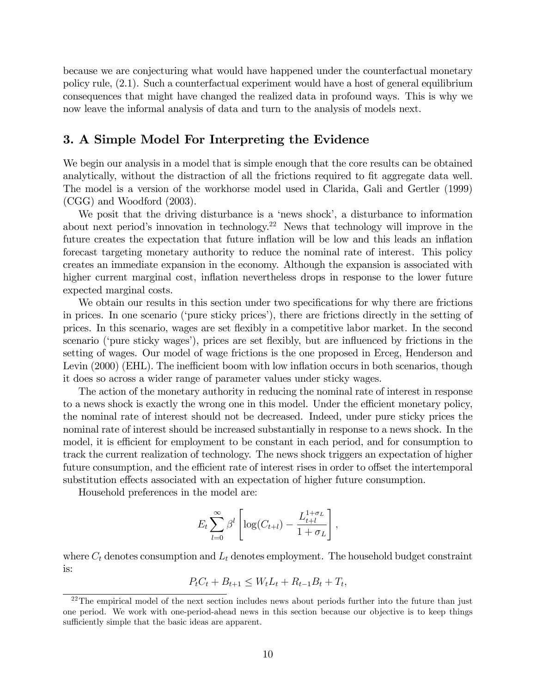because we are conjecturing what would have happened under the counterfactual monetary policy rule, (2.1). Such a counterfactual experiment would have a host of general equilibrium consequences that might have changed the realized data in profound ways. This is why we now leave the informal analysis of data and turn to the analysis of models next.

# 3. A Simple Model For Interpreting the Evidence

We begin our analysis in a model that is simple enough that the core results can be obtained analytically, without the distraction of all the frictions required to fit aggregate data well. The model is a version of the workhorse model used in Clarida, Gali and Gertler (1999) (CGG) and Woodford (2003).

We posit that the driving disturbance is a 'news shock', a disturbance to information about next period's innovation in technology.<sup>22</sup> News that technology will improve in the future creates the expectation that future inflation will be low and this leads an inflation forecast targeting monetary authority to reduce the nominal rate of interest. This policy creates an immediate expansion in the economy. Although the expansion is associated with higher current marginal cost, inflation nevertheless drops in response to the lower future expected marginal costs.

We obtain our results in this section under two specifications for why there are frictions in prices. In one scenario ('pure sticky prices'), there are frictions directly in the setting of prices. In this scenario, wages are set áexibly in a competitive labor market. In the second scenario ('pure sticky wages'), prices are set flexibly, but are influenced by frictions in the setting of wages. Our model of wage frictions is the one proposed in Erceg, Henderson and Levin  $(2000)$  (EHL). The inefficient boom with low inflation occurs in both scenarios, though it does so across a wider range of parameter values under sticky wages.

The action of the monetary authority in reducing the nominal rate of interest in response to a news shock is exactly the wrong one in this model. Under the efficient monetary policy, the nominal rate of interest should not be decreased. Indeed, under pure sticky prices the nominal rate of interest should be increased substantially in response to a news shock. In the model, it is efficient for employment to be constant in each period, and for consumption to track the current realization of technology. The news shock triggers an expectation of higher future consumption, and the efficient rate of interest rises in order to offset the intertemporal substitution effects associated with an expectation of higher future consumption.

Household preferences in the model are:

$$
E_t \sum_{l=0}^{\infty} \beta^l \left[ \log(C_{t+l}) - \frac{L_{t+l}^{1+\sigma_L}}{1+\sigma_L} \right],
$$

where  $C_t$  denotes consumption and  $L_t$  denotes employment. The household budget constraint is:

$$
P_t C_t + B_{t+1} \le W_t L_t + R_{t-1} B_t + T_t,
$$

 $22$ The empirical model of the next section includes news about periods further into the future than just one period. We work with one-period-ahead news in this section because our objective is to keep things sufficiently simple that the basic ideas are apparent.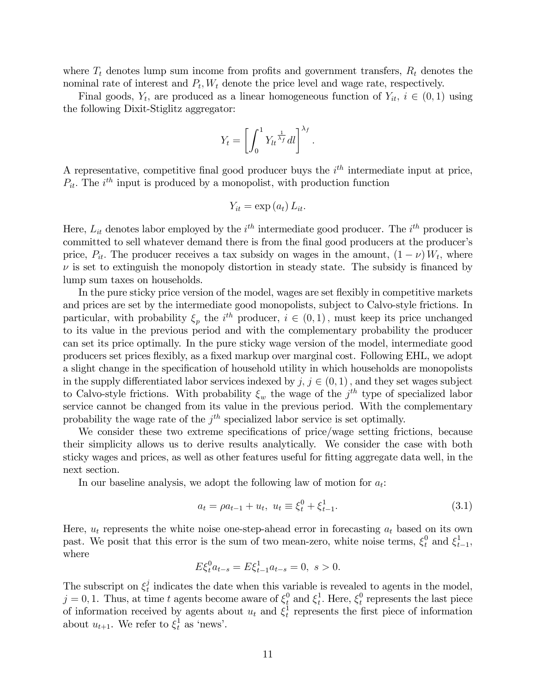where  $T_t$  denotes lump sum income from profits and government transfers,  $R_t$  denotes the nominal rate of interest and  $P_t$ ,  $W_t$  denote the price level and wage rate, respectively.

Final goods,  $Y_t$ , are produced as a linear homogeneous function of  $Y_{it}$ ,  $i \in (0,1)$  using the following Dixit-Stiglitz aggregator:

$$
Y_t = \left[ \int_0^1 Y_t \overline{X_t} \, dt \right]^{X_f}.
$$

A representative, competitive final good producer buys the  $i<sup>th</sup>$  intermediate input at price,  $P_{it}$ . The  $i^{th}$  input is produced by a monopolist, with production function

$$
Y_{it} = \exp\left(a_t\right) L_{it}.
$$

Here,  $L_{it}$  denotes labor employed by the  $i^{th}$  intermediate good producer. The  $i^{th}$  producer is committed to sell whatever demand there is from the final good producers at the producer's price,  $P_{it}$ . The producer receives a tax subsidy on wages in the amount,  $(1 - \nu) W_t$ , where  $\nu$  is set to extinguish the monopoly distortion in steady state. The subsidy is financed by lump sum taxes on households.

In the pure sticky price version of the model, wages are set flexibly in competitive markets and prices are set by the intermediate good monopolists, subject to Calvo-style frictions. In particular, with probability  $\xi_p$  the  $i^{th}$  producer,  $i \in (0, 1)$ , must keep its price unchanged to its value in the previous period and with the complementary probability the producer can set its price optimally. In the pure sticky wage version of the model, intermediate good producers set prices flexibly, as a fixed markup over marginal cost. Following EHL, we adopt a slight change in the specification of household utility in which households are monopolists in the supply differentiated labor services indexed by  $j, j \in (0, 1)$ , and they set wages subject to Calvo-style frictions. With probability  $\xi_w$  the wage of the  $j^{th}$  type of specialized labor service cannot be changed from its value in the previous period. With the complementary probability the wage rate of the  $j<sup>th</sup>$  specialized labor service is set optimally.

We consider these two extreme specifications of price/wage setting frictions, because their simplicity allows us to derive results analytically. We consider the case with both sticky wages and prices, as well as other features useful for fitting aggregate data well, in the next section.

In our baseline analysis, we adopt the following law of motion for  $a_t$ :

$$
a_t = \rho a_{t-1} + u_t, \ u_t \equiv \xi_t^0 + \xi_{t-1}^1. \tag{3.1}
$$

Here,  $u_t$  represents the white noise one-step-ahead error in forecasting  $a_t$  based on its own past. We posit that this error is the sum of two mean-zero, white noise terms,  $\xi_t^0$  and  $\xi_t^1$ .  $\frac{1}{t-1},$ where

$$
E\xi_t^0 a_{t-s} = E\xi_{t-1}^1 a_{t-s} = 0, \ s > 0.
$$

The subscript on  $\xi_t^j$  $t<sub>t</sub>$  indicates the date when this variable is revealed to agents in the model,  $j = 0, 1$ . Thus, at time t agents become aware of  $\xi_i^0$  and  $\xi_t^1$ <sup>1</sup>. Here,  $\xi_t^0$  $t_t$  represents the last piece of information received by agents about  $u_t$  and  $\xi_t^1$  $t<sub>t</sub>$  represents the first piece of information about  $u_{t+1}$ . We refer to  $\xi_t^1$  as 'news'.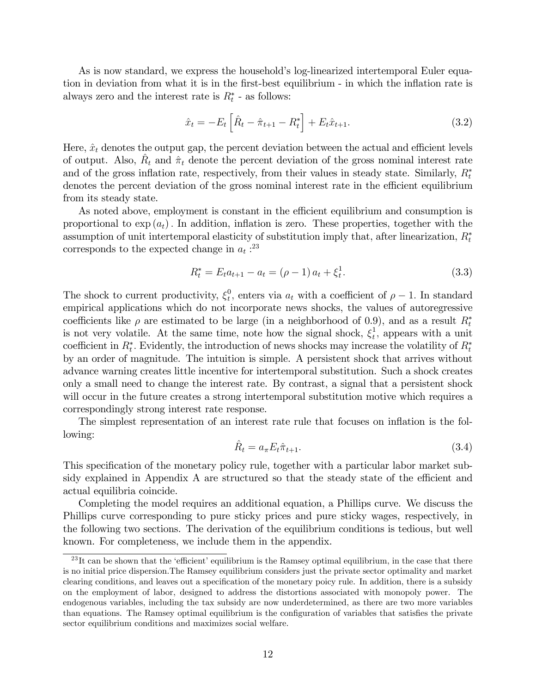As is now standard, we express the household's log-linearized intertemporal Euler equation in deviation from what it is in the first-best equilibrium - in which the inflation rate is always zero and the interest rate is  $R_t^*$  - as follows:

$$
\hat{x}_t = -E_t \left[ \hat{R}_t - \hat{\pi}_{t+1} - R_t^* \right] + E_t \hat{x}_{t+1}.
$$
\n(3.2)

Here,  $\hat{x}_t$  denotes the output gap, the percent deviation between the actual and efficient levels of output. Also,  $\hat{R}_t$  and  $\hat{\pi}_t$  denote the percent deviation of the gross nominal interest rate and of the gross inflation rate, respectively, from their values in steady state. Similarly,  $R_t^*$ denotes the percent deviation of the gross nominal interest rate in the efficient equilibrium from its steady state.

As noted above, employment is constant in the efficient equilibrium and consumption is proportional to  $\exp(a_t)$ . In addition, inflation is zero. These properties, together with the assumption of unit intertemporal elasticity of substitution imply that, after linearization,  $R_t^*$ corresponds to the expected change in  $a_t$ :<sup>23</sup>

$$
R_t^* = E_t a_{t+1} - a_t = (\rho - 1) a_t + \xi_t^1.
$$
\n(3.3)

The shock to current productivity,  $\xi_t^0$  $t<sub>t</sub>$ , enters via  $a<sub>t</sub>$  with a coefficient of  $\rho - 1$ . In standard empirical applications which do not incorporate news shocks, the values of autoregressive coefficients like  $\rho$  are estimated to be large (in a neighborhood of 0.9), and as a result  $R_t^*$ is not very volatile. At the same time, note how the signal shock,  $\xi_t^1$  $t<sub>t</sub>$ , appears with a unit coefficient in  $R_t^*$ . Evidently, the introduction of news shocks may increase the volatility of  $R_t^*$ by an order of magnitude. The intuition is simple. A persistent shock that arrives without advance warning creates little incentive for intertemporal substitution. Such a shock creates only a small need to change the interest rate. By contrast, a signal that a persistent shock will occur in the future creates a strong intertemporal substitution motive which requires a correspondingly strong interest rate response.

The simplest representation of an interest rate rule that focuses on inflation is the following:

$$
\hat{R}_t = a_\pi E_t \hat{\pi}_{t+1}.
$$
\n(3.4)

This specification of the monetary policy rule, together with a particular labor market subsidy explained in Appendix A are structured so that the steady state of the efficient and actual equilibria coincide.

Completing the model requires an additional equation, a Phillips curve. We discuss the Phillips curve corresponding to pure sticky prices and pure sticky wages, respectively, in the following two sections. The derivation of the equilibrium conditions is tedious, but well known. For completeness, we include them in the appendix.

 $^{23}$ It can be shown that the 'efficient' equilibrium is the Ramsey optimal equilibrium, in the case that there is no initial price dispersion.The Ramsey equilibrium considers just the private sector optimality and market clearing conditions, and leaves out a specification of the monetary poicy rule. In addition, there is a subsidy on the employment of labor, designed to address the distortions associated with monopoly power. The endogenous variables, including the tax subsidy are now underdetermined, as there are two more variables than equations. The Ramsey optimal equilibrium is the configuration of variables that satisfies the private sector equilibrium conditions and maximizes social welfare.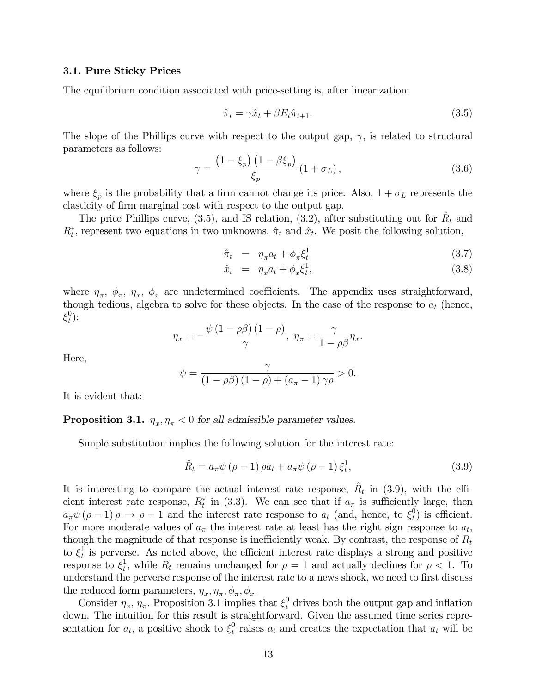#### 3.1. Pure Sticky Prices

The equilibrium condition associated with price-setting is, after linearization:

$$
\hat{\pi}_t = \gamma \hat{x}_t + \beta E_t \hat{\pi}_{t+1}.
$$
\n(3.5)

The slope of the Phillips curve with respect to the output gap,  $\gamma$ , is related to structural parameters as follows:

$$
\gamma = \frac{\left(1 - \xi_p\right)\left(1 - \beta \xi_p\right)}{\xi_p} \left(1 + \sigma_L\right),\tag{3.6}
$$

where  $\xi_p$  is the probability that a firm cannot change its price. Also,  $1 + \sigma_L$  represents the elasticity of firm marginal cost with respect to the output gap.

The price Phillips curve, (3.5), and IS relation, (3.2), after substituting out for  $\hat{R}_t$  and  $R_t^*$ , represent two equations in two unknowns,  $\hat{\pi}_t$  and  $\hat{x}_t$ . We posit the following solution,

$$
\hat{\pi}_t = \eta_\pi a_t + \phi_\pi \xi_t^1 \tag{3.7}
$$

$$
\hat{x}_t = \eta_x a_t + \phi_x \xi_t^1,\tag{3.8}
$$

where  $\eta_{\pi}$ ,  $\phi_{\pi}$ ,  $\eta_{x}$ ,  $\phi_{x}$  are undetermined coefficients. The appendix uses straightforward, though tedious, algebra to solve for these objects. In the case of the response to  $a_t$  (hence,  $\xi_t^0$  $\binom{0}{t}$ :

$$
\eta_x = -\frac{\psi(1-\rho\beta)(1-\rho)}{\gamma}, \ \eta_\pi = \frac{\gamma}{1-\rho\beta}\eta_x.
$$

Here,

$$
\psi = \frac{\gamma}{(1 - \rho \beta)(1 - \rho) + (a_{\pi} - 1)\gamma \rho} > 0.
$$

It is evident that:

**Proposition 3.1.**  $\eta_x, \eta_{\pi} < 0$  for all admissible parameter values.

Simple substitution implies the following solution for the interest rate:

$$
\hat{R}_t = a_{\pi} \psi (\rho - 1) \rho a_t + a_{\pi} \psi (\rho - 1) \xi_t^1, \tag{3.9}
$$

It is interesting to compare the actual interest rate response,  $\hat{R}_t$  in (3.9), with the efficient interest rate response,  $R_t^*$  in (3.3). We can see that if  $a_{\pi}$  is sufficiently large, then  $a_{\pi} \psi (\rho - 1) \rho \rightarrow \rho - 1$  and the interest rate response to  $a_t$  (and, hence, to  $\xi_t^0$  $t$ <sup>0</sup>) is efficient. For more moderate values of  $a_{\pi}$  the interest rate at least has the right sign response to  $a_t$ , though the magnitude of that response is inefficiently weak. By contrast, the response of  $R_t$  $\mathrm{to}\; \xi^1_t$  $\frac{1}{t}$  is perverse. As noted above, the efficient interest rate displays a strong and positive response to  $\xi_t^1$ <sup>1</sup><sub>t</sub>, while  $R_t$  remains unchanged for  $\rho = 1$  and actually declines for  $\rho < 1$ . To understand the perverse response of the interest rate to a news shock, we need to first discuss the reduced form parameters,  $\eta_x, \eta_\pi, \phi_\pi, \phi_x$ .

Consider  $\eta_x$ ,  $\eta_{\pi}$ . Proposition 3.1 implies that  $\xi_t^0$  drives both the output gap and inflation down. The intuition for this result is straightforward. Given the assumed time series representation for  $a_t$ , a positive shock to  $\xi_t^0$  $t_t^0$  raises  $a_t$  and creates the expectation that  $a_t$  will be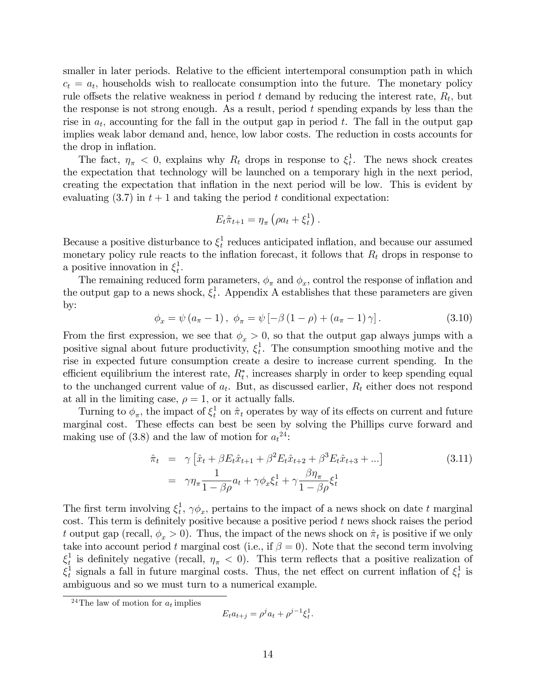smaller in later periods. Relative to the efficient intertemporal consumption path in which  $c_t = a_t$ , households wish to reallocate consumption into the future. The monetary policy rule offsets the relative weakness in period t demand by reducing the interest rate,  $R_t$ , but the response is not strong enough. As a result, period  $t$  spending expands by less than the rise in  $a_t$ , accounting for the fall in the output gap in period t. The fall in the output gap implies weak labor demand and, hence, low labor costs. The reduction in costs accounts for the drop in inflation.

The fact,  $\eta_{\pi}$  < 0, explains why  $R_t$  drops in response to  $\xi_t^1$  $t<sub>t</sub>$ . The news shock creates the expectation that technology will be launched on a temporary high in the next period, creating the expectation that ináation in the next period will be low. This is evident by evaluating  $(3.7)$  in  $t + 1$  and taking the period t conditional expectation:

$$
E_t \hat{\pi}_{t+1} = \eta_{\pi} \left( \rho a_t + \xi_t^1 \right).
$$

Because a positive disturbance to  $\xi_t^1$  $_{t}^{1}$  reduces anticipated inflation, and because our assumed monetary policy rule reacts to the inflation forecast, it follows that  $R_t$  drops in response to a positive innovation in  $\xi_t^1$  $\frac{1}{t}$ .

The remaining reduced form parameters,  $\phi_{\pi}$  and  $\phi_{x}$ , control the response of inflation and the output gap to a news shock,  $\xi_t^1$  $_{t}^{1}$ . Appendix A establishes that these parameters are given by:

$$
\phi_x = \psi (a_{\pi} - 1), \ \phi_{\pi} = \psi [-\beta (1 - \rho) + (a_{\pi} - 1) \gamma]. \tag{3.10}
$$

From the first expression, we see that  $\phi_x > 0$ , so that the output gap always jumps with a positive signal about future productivity,  $\xi_t^1$  $_t^1$ . The consumption smoothing motive and the rise in expected future consumption create a desire to increase current spending. In the efficient equilibrium the interest rate,  $R_t^*$ , increases sharply in order to keep spending equal to the unchanged current value of  $a_t$ . But, as discussed earlier,  $R_t$  either does not respond at all in the limiting case,  $\rho = 1$ , or it actually falls.

Turning to  $\phi_{\pi}$ , the impact of  $\xi_t^1$  on  $\hat{\pi}_t$  operates by way of its effects on current and future marginal cost. These effects can best be seen by solving the Phillips curve forward and making use of (3.8) and the law of motion for  $a_t^{24}$ :

$$
\hat{\pi}_t = \gamma \left[ \hat{x}_t + \beta E_t \hat{x}_{t+1} + \beta^2 E_t \hat{x}_{t+2} + \beta^3 E_t \hat{x}_{t+3} + \ldots \right]
$$
\n
$$
= \gamma \eta_\pi \frac{1}{1 - \beta \rho} a_t + \gamma \phi_x \xi_t^1 + \gamma \frac{\beta \eta_\pi}{1 - \beta \rho} \xi_t^1
$$
\n(3.11)

The first term involving  $\xi_t^1$  $_{t}^{1}, \gamma \phi_{x}$ , pertains to the impact of a news shock on date t marginal cost. This term is definitely positive because a positive period  $t$  news shock raises the period t output gap (recall,  $\phi_x > 0$ ). Thus, the impact of the news shock on  $\hat{\pi}_t$  is positive if we only take into account period t marginal cost (i.e., if  $\beta = 0$ ). Note that the second term involving  $\xi_t^1$ <sup>1</sup>/<sub>2</sub> is definitely negative (recall,  $\eta_{\pi}$  < 0). This term reflects that a positive realization of  $\xi^1_t$ <sup>1</sup><sub>t</sub> signals a fall in future marginal costs. Thus, the net effect on current inflation of  $\xi_t^1$  $\frac{1}{t}$  is ambiguous and so we must turn to a numerical example.

$$
E_t a_{t+j} = \rho^j a_t + \rho^{j-1} \xi_t^1.
$$

<sup>&</sup>lt;sup>24</sup>The law of motion for  $a_t$  implies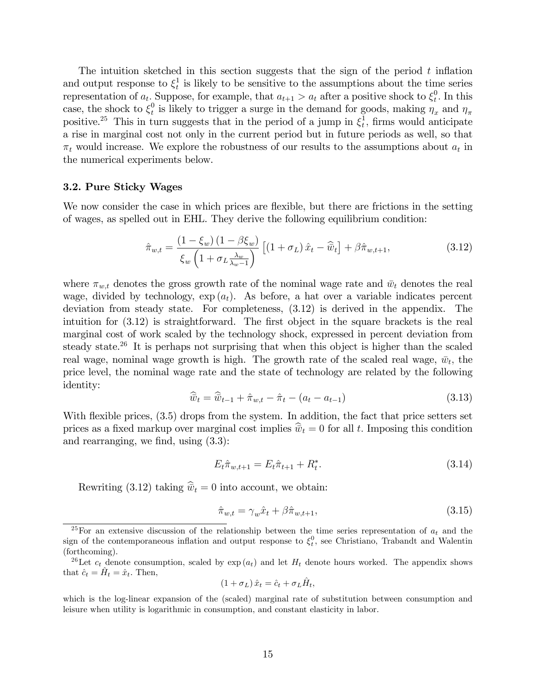The intuition sketched in this section suggests that the sign of the period  $t$  inflation and output response to  $\xi_t^1$  $\frac{1}{t}$  is likely to be sensitive to the assumptions about the time series representation of  $a_t$ . Suppose, for example, that  $a_{t+1} > a_t$  after a positive shock to  $\xi_t^0$  $\int_t^0$ . In this case, the shock to  $\xi_t^0$  $\eta_t^0$  is likely to trigger a surge in the demand for goods, making  $\eta_x$  and  $\eta_{\pi}$ positive.<sup>25</sup> This in turn suggests that in the period of a jump in  $\xi_t^1$  $\frac{1}{t}$ , firms would anticipate a rise in marginal cost not only in the current period but in future periods as well, so that  $\pi_t$  would increase. We explore the robustness of our results to the assumptions about  $a_t$  in the numerical experiments below.

#### 3.2. Pure Sticky Wages

We now consider the case in which prices are flexible, but there are frictions in the setting of wages, as spelled out in EHL. They derive the following equilibrium condition:

$$
\hat{\pi}_{w,t} = \frac{\left(1 - \xi_w\right)\left(1 - \beta \xi_w\right)}{\xi_w \left(1 + \sigma_L \frac{\lambda_w}{\lambda_w - 1}\right)} \left[\left(1 + \sigma_L\right)\hat{x}_t - \widehat{\bar{w}}_t\right] + \beta \hat{\pi}_{w,t+1},\tag{3.12}
$$

where  $\pi_{w,t}$  denotes the gross growth rate of the nominal wage rate and  $\bar{w}_t$  denotes the real wage, divided by technology,  $\exp(a_t)$ . As before, a hat over a variable indicates percent deviation from steady state. For completeness, (3.12) is derived in the appendix. The intuition for  $(3.12)$  is straightforward. The first object in the square brackets is the real marginal cost of work scaled by the technology shock, expressed in percent deviation from steady state.<sup>26</sup> It is perhaps not surprising that when this object is higher than the scaled real wage, nominal wage growth is high. The growth rate of the scaled real wage,  $\bar{w}_t$ , the price level, the nominal wage rate and the state of technology are related by the following identity:

$$
\widehat{\bar{w}}_t = \widehat{\bar{w}}_{t-1} + \widehat{\pi}_{w,t} - \widehat{\pi}_t - (a_t - a_{t-1})
$$
\n(3.13)

With flexible prices,  $(3.5)$  drops from the system. In addition, the fact that price setters set prices as a fixed markup over marginal cost implies  $\hat{\vec{w}}_t = 0$  for all t. Imposing this condition and rearranging, we find, using  $(3.3)$ :

$$
E_t \hat{\pi}_{w,t+1} = E_t \hat{\pi}_{t+1} + R_t^*.
$$
\n(3.14)

Rewriting (3.12) taking  $\hat{\overline{w}}_t = 0$  into account, we obtain:

$$
\hat{\pi}_{w,t} = \gamma_w \hat{x}_t + \beta \hat{\pi}_{w,t+1},\tag{3.15}
$$

$$
(1 + \sigma_L) \,\hat{x}_t = \hat{c}_t + \sigma_L \hat{H}_t,
$$

<sup>&</sup>lt;sup>25</sup>For an extensive discussion of the relationship between the time series representation of  $a_t$  and the sign of the contemporaneous inflation and output response to  $\xi_t^0$ , see Christiano, Trabandt and Walentin (forthcoming).

<sup>&</sup>lt;sup>26</sup>Let  $c_t$  denote consumption, scaled by  $\exp(a_t)$  and let  $H_t$  denote hours worked. The appendix shows that  $\hat{c}_t = \hat{H}_t = \hat{x}_t$ . Then,

which is the log-linear expansion of the (scaled) marginal rate of substitution between consumption and leisure when utility is logarithmic in consumption, and constant elasticity in labor.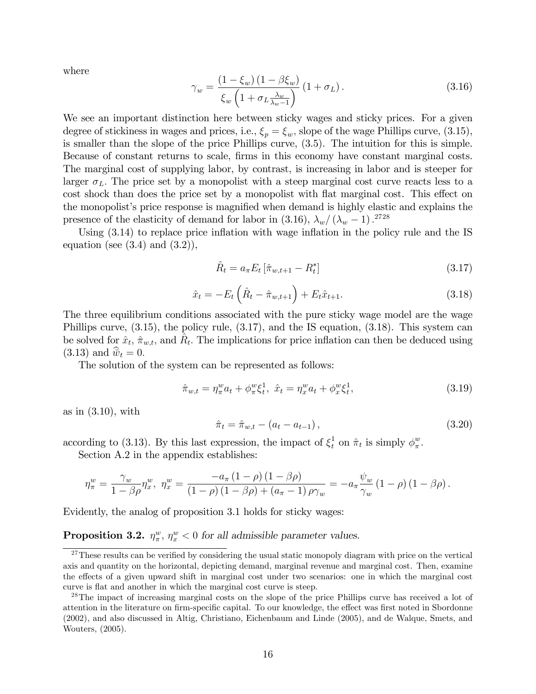where

$$
\gamma_w = \frac{\left(1 - \xi_w\right)\left(1 - \beta \xi_w\right)}{\xi_w \left(1 + \sigma_L \frac{\lambda_w}{\lambda_w - 1}\right)} \left(1 + \sigma_L\right). \tag{3.16}
$$

We see an important distinction here between sticky wages and sticky prices. For a given degree of stickiness in wages and prices, i.e.,  $\xi_p = \xi_w$ , slope of the wage Phillips curve, (3.15), is smaller than the slope of the price Phillips curve, (3.5). The intuition for this is simple. Because of constant returns to scale, firms in this economy have constant marginal costs. The marginal cost of supplying labor, by contrast, is increasing in labor and is steeper for larger  $\sigma_L$ . The price set by a monopolist with a steep marginal cost curve reacts less to a cost shock than does the price set by a monopolist with flat marginal cost. This effect on the monopolist's price response is magnified when demand is highly elastic and explains the presence of the elasticity of demand for labor in (3.16),  $\lambda_w/(\lambda_w - 1)$ .<sup>2728</sup>

Using  $(3.14)$  to replace price inflation with wage inflation in the policy rule and the IS equation (see  $(3.4)$  and  $(3.2)$ ),

$$
\hat{R}_t = a_{\pi} E_t \left[ \hat{\pi}_{w, t+1} - R_t^* \right] \tag{3.17}
$$

$$
\hat{x}_t = -E_t \left( \hat{R}_t - \hat{\pi}_{w, t+1} \right) + E_t \hat{x}_{t+1}.
$$
\n(3.18)

The three equilibrium conditions associated with the pure sticky wage model are the wage Phillips curve, (3.15), the policy rule, (3.17), and the IS equation, (3.18). This system can be solved for  $\hat{x}_t$ ,  $\hat{\pi}_{w,t}$ , and  $\hat{R}_t$ . The implications for price inflation can then be deduced using  $(3.13)$  and  $\overline{\dot{w}}_t = 0$ .

The solution of the system can be represented as follows:

$$
\hat{\pi}_{w,t} = \eta_{\pi}^w a_t + \phi_{\pi}^w \xi_t^1, \ \hat{x}_t = \eta_x^w a_t + \phi_x^w \xi_t^1,\tag{3.19}
$$

as in (3.10), with

$$
\hat{\pi}_t = \hat{\pi}_{w,t} - (a_t - a_{t-1}), \qquad (3.20)
$$

according to (3.13). By this last expression, the impact of  $\xi_t^1$  on  $\hat{\pi}_t$  is simply  $\phi_{\pi}^w$  $\frac{w}{\pi}$ .

Section A.2 in the appendix establishes:

$$
\eta_{\pi}^{w} = \frac{\gamma_{w}}{1 - \beta \rho} \eta_{x}^{w}, \quad \eta_{x}^{w} = \frac{-a_{\pi} (1 - \rho) (1 - \beta \rho)}{(1 - \rho) (1 - \beta \rho) + (a_{\pi} - 1) \rho \gamma_{w}} = -a_{\pi} \frac{\psi_{w}}{\gamma_{w}} (1 - \rho) (1 - \beta \rho).
$$

Evidently, the analog of proposition 3.1 holds for sticky wages:

# **Proposition 3.2.**  $\eta_{\pi}^w$ ,  $\eta_x^w < 0$  for all admissible parameter values.

 $27$ These results can be verified by considering the usual static monopoly diagram with price on the vertical axis and quantity on the horizontal, depicting demand, marginal revenue and marginal cost. Then, examine the effects of a given upward shift in marginal cost under two scenarios: one in which the marginal cost curve is flat and another in which the marginal cost curve is steep.

<sup>&</sup>lt;sup>28</sup>The impact of increasing marginal costs on the slope of the price Phillips curve has received a lot of attention in the literature on firm-specific capital. To our knowledge, the effect was first noted in Sbordonne (2002), and also discussed in Altig, Christiano, Eichenbaum and Linde (2005), and de Walque, Smets, and Wouters, (2005).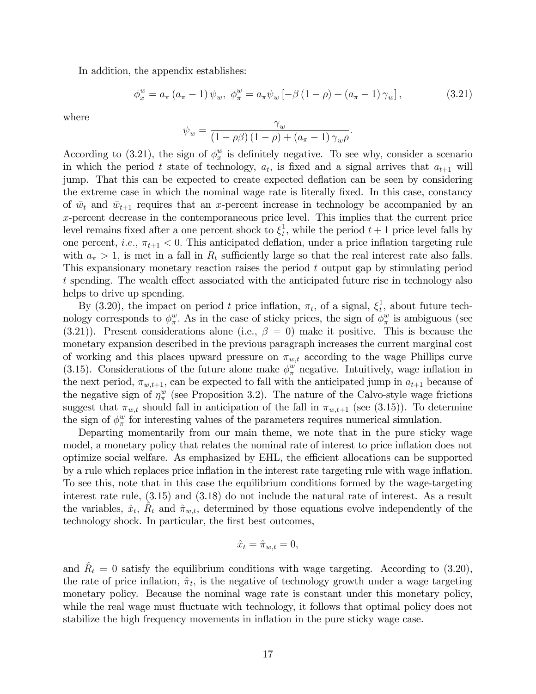In addition, the appendix establishes:

$$
\phi_x^w = a_{\pi} (a_{\pi} - 1) \psi_w, \ \phi_{\pi}^w = a_{\pi} \psi_w \left[ -\beta (1 - \rho) + (a_{\pi} - 1) \gamma_w \right], \tag{3.21}
$$

where

$$
\psi_w = \frac{\gamma_w}{(1 - \rho \beta) (1 - \rho) + (a_{\pi} - 1) \gamma_w \rho}.
$$

According to (3.21), the sign of  $\phi_x^w$  $x<sup>w</sup>$  is definitely negative. To see why, consider a scenario in which the period t state of technology,  $a_t$ , is fixed and a signal arrives that  $a_{t+1}$  will jump. That this can be expected to create expected deflation can be seen by considering the extreme case in which the nominal wage rate is literally fixed. In this case, constancy of  $\bar{w}_t$  and  $\bar{w}_{t+1}$  requires that an x-percent increase in technology be accompanied by an x-percent decrease in the contemporaneous price level. This implies that the current price level remains fixed after a one percent shock to  $\xi_t^1$  $t<sub>t</sub>$ , while the period  $t+1$  price level falls by one percent, *i.e.*,  $\pi_{t+1} < 0$ . This anticipated deflation, under a price inflation targeting rule with  $a_{\pi} > 1$ , is met in a fall in  $R_t$  sufficiently large so that the real interest rate also falls. This expansionary monetary reaction raises the period t output gap by stimulating period t spending. The wealth effect associated with the anticipated future rise in technology also helps to drive up spending.

By (3.20), the impact on period t price inflation,  $\pi_t$ , of a signal,  $\xi_t^1$  $t<sub>t</sub>$ , about future technology corresponds to  $\phi_{\pi}^w$  $w_{\pi}^w$ . As in the case of sticky prices, the sign of  $\phi_{\pi}^w$  $\frac{w}{\pi}$  is ambiguous (see  $(3.21)$ ). Present considerations alone (i.e.,  $\beta = 0$ ) make it positive. This is because the monetary expansion described in the previous paragraph increases the current marginal cost of working and this places upward pressure on  $\pi_{w,t}$  according to the wage Phillips curve (3.15). Considerations of the future alone make  $\phi_{\pi}^{w}$  negative. Intuitively, wage inflation in the next period,  $\pi_{w,t+1}$ , can be expected to fall with the anticipated jump in  $a_{t+1}$  because of the negative sign of  $\eta_{\pi}^{w}$  (see Proposition 3.2). The nature of the Calvo-style wage frictions suggest that  $\pi_{w,t}$  should fall in anticipation of the fall in  $\pi_{w,t+1}$  (see (3.15)). To determine the sign of  $\phi_{\pi}^w$  $\frac{w}{\pi}$  for interesting values of the parameters requires numerical simulation.

Departing momentarily from our main theme, we note that in the pure sticky wage model, a monetary policy that relates the nominal rate of interest to price inflation does not optimize social welfare. As emphasized by EHL, the efficient allocations can be supported by a rule which replaces price ináation in the interest rate targeting rule with wage ináation. To see this, note that in this case the equilibrium conditions formed by the wage-targeting interest rate rule, (3.15) and (3.18) do not include the natural rate of interest. As a result the variables,  $\hat{x}_t$ ,  $\hat{R}_t$  and  $\hat{\pi}_{w,t}$ , determined by those equations evolve independently of the technology shock. In particular, the first best outcomes,

$$
\hat{x}_t = \hat{\pi}_{w,t} = 0,
$$

and  $\hat{R}_t = 0$  satisfy the equilibrium conditions with wage targeting. According to (3.20), the rate of price inflation,  $\hat{\pi}_t$ , is the negative of technology growth under a wage targeting monetary policy. Because the nominal wage rate is constant under this monetary policy, while the real wage must fluctuate with technology, it follows that optimal policy does not stabilize the high frequency movements in inflation in the pure sticky wage case.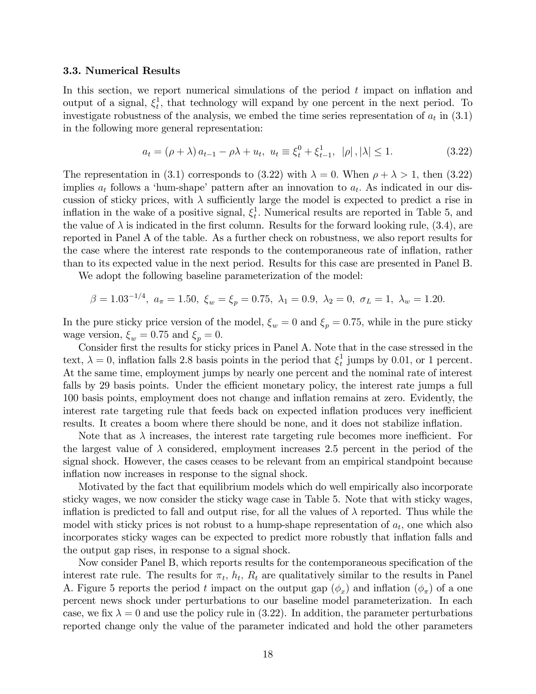#### 3.3. Numerical Results

In this section, we report numerical simulations of the period  $t$  impact on inflation and output of a signal,  $\xi_t^1$  $_{t}^{1}$ , that technology will expand by one percent in the next period. To investigate robustness of the analysis, we embed the time series representation of  $a_t$  in  $(3.1)$ in the following more general representation:

$$
a_{t} = (\rho + \lambda) a_{t-1} - \rho \lambda + u_{t}, \ u_{t} \equiv \xi_{t}^{0} + \xi_{t-1}^{1}, \ |\rho|, |\lambda| \le 1.
$$
 (3.22)

The representation in (3.1) corresponds to (3.22) with  $\lambda = 0$ . When  $\rho + \lambda > 1$ , then (3.22) implies  $a_t$  follows a 'hum-shape' pattern after an innovation to  $a_t$ . As indicated in our discussion of sticky prices, with  $\lambda$  sufficiently large the model is expected to predict a rise in inflation in the wake of a positive signal,  $\xi_t^1$  $_t^1$ . Numerical results are reported in Table 5, and the value of  $\lambda$  is indicated in the first column. Results for the forward looking rule, (3.4), are reported in Panel A of the table. As a further check on robustness, we also report results for the case where the interest rate responds to the contemporaneous rate of inflation, rather than to its expected value in the next period. Results for this case are presented in Panel B.

We adopt the following baseline parameterization of the model:

$$
\beta = 1.03^{-1/4}, \ a_{\pi} = 1.50, \ \xi_w = \xi_p = 0.75, \ \lambda_1 = 0.9, \ \lambda_2 = 0, \ \sigma_L = 1, \ \lambda_w = 1.20.
$$

In the pure sticky price version of the model,  $\xi_w = 0$  and  $\xi_p = 0.75$ , while in the pure sticky wage version,  $\xi_w = 0.75$  and  $\xi_p = 0$ .

Consider first the results for sticky prices in Panel A. Note that in the case stressed in the text,  $\lambda = 0$ , inflation falls 2.8 basis points in the period that  $\xi_t^1$  $_t^1$  jumps by 0.01, or 1 percent. At the same time, employment jumps by nearly one percent and the nominal rate of interest falls by 29 basis points. Under the efficient monetary policy, the interest rate jumps a full 100 basis points, employment does not change and ináation remains at zero. Evidently, the interest rate targeting rule that feeds back on expected inflation produces very inefficient results. It creates a boom where there should be none, and it does not stabilize inflation.

Note that as  $\lambda$  increases, the interest rate targeting rule becomes more inefficient. For the largest value of  $\lambda$  considered, employment increases 2.5 percent in the period of the signal shock. However, the cases ceases to be relevant from an empirical standpoint because inflation now increases in response to the signal shock.

Motivated by the fact that equilibrium models which do well empirically also incorporate sticky wages, we now consider the sticky wage case in Table 5. Note that with sticky wages, inflation is predicted to fall and output rise, for all the values of  $\lambda$  reported. Thus while the model with sticky prices is not robust to a hump-shape representation of  $a_t$ , one which also incorporates sticky wages can be expected to predict more robustly that inflation falls and the output gap rises, in response to a signal shock.

Now consider Panel B, which reports results for the contemporaneous specification of the interest rate rule. The results for  $\pi_t$ ,  $h_t$ ,  $R_t$  are qualitatively similar to the results in Panel A. Figure 5 reports the period t impact on the output gap  $(\phi_x)$  and inflation  $(\phi_{\pi})$  of a one percent news shock under perturbations to our baseline model parameterization. In each case, we fix  $\lambda = 0$  and use the policy rule in (3.22). In addition, the parameter perturbations reported change only the value of the parameter indicated and hold the other parameters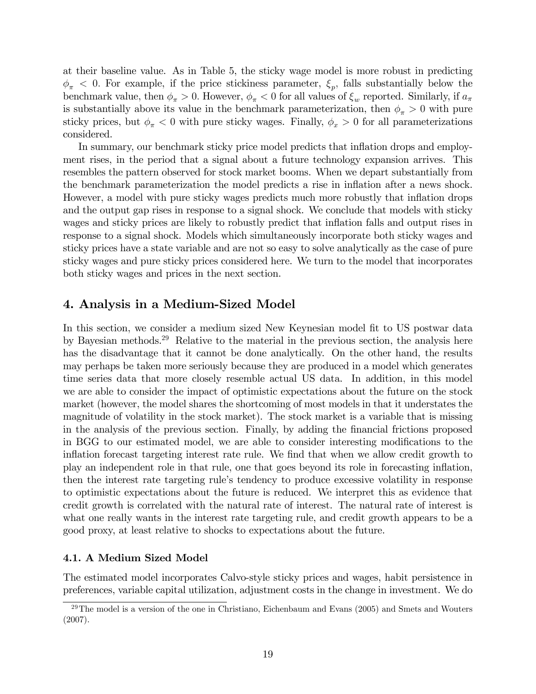at their baseline value. As in Table 5, the sticky wage model is more robust in predicting  $\phi_{\pi}$  < 0. For example, if the price stickiness parameter,  $\xi_{p}$ , falls substantially below the benchmark value, then  $\phi_{\pi} > 0$ . However,  $\phi_{\pi} < 0$  for all values of  $\xi_w$  reported. Similarly, if  $a_{\pi}$ is substantially above its value in the benchmark parameterization, then  $\phi_{\pi} > 0$  with pure sticky prices, but  $\phi_{\pi}$  < 0 with pure sticky wages. Finally,  $\phi_x > 0$  for all parameterizations considered.

In summary, our benchmark sticky price model predicts that inflation drops and employment rises, in the period that a signal about a future technology expansion arrives. This resembles the pattern observed for stock market booms. When we depart substantially from the benchmark parameterization the model predicts a rise in ináation after a news shock. However, a model with pure sticky wages predicts much more robustly that inflation drops and the output gap rises in response to a signal shock. We conclude that models with sticky wages and sticky prices are likely to robustly predict that inflation falls and output rises in response to a signal shock. Models which simultaneously incorporate both sticky wages and sticky prices have a state variable and are not so easy to solve analytically as the case of pure sticky wages and pure sticky prices considered here. We turn to the model that incorporates both sticky wages and prices in the next section.

# 4. Analysis in a Medium-Sized Model

In this section, we consider a medium sized New Keynesian model fit to US postwar data by Bayesian methods.<sup>29</sup> Relative to the material in the previous section, the analysis here has the disadvantage that it cannot be done analytically. On the other hand, the results may perhaps be taken more seriously because they are produced in a model which generates time series data that more closely resemble actual US data. In addition, in this model we are able to consider the impact of optimistic expectations about the future on the stock market (however, the model shares the shortcoming of most models in that it understates the magnitude of volatility in the stock market). The stock market is a variable that is missing in the analysis of the previous section. Finally, by adding the Önancial frictions proposed in BGG to our estimated model, we are able to consider interesting modifications to the inflation forecast targeting interest rate rule. We find that when we allow credit growth to play an independent role in that rule, one that goes beyond its role in forecasting ináation, then the interest rate targeting rule's tendency to produce excessive volatility in response to optimistic expectations about the future is reduced. We interpret this as evidence that credit growth is correlated with the natural rate of interest. The natural rate of interest is what one really wants in the interest rate targeting rule, and credit growth appears to be a good proxy, at least relative to shocks to expectations about the future.

### 4.1. A Medium Sized Model

The estimated model incorporates Calvo-style sticky prices and wages, habit persistence in preferences, variable capital utilization, adjustment costs in the change in investment. We do

 $29$ The model is a version of the one in Christiano, Eichenbaum and Evans (2005) and Smets and Wouters (2007).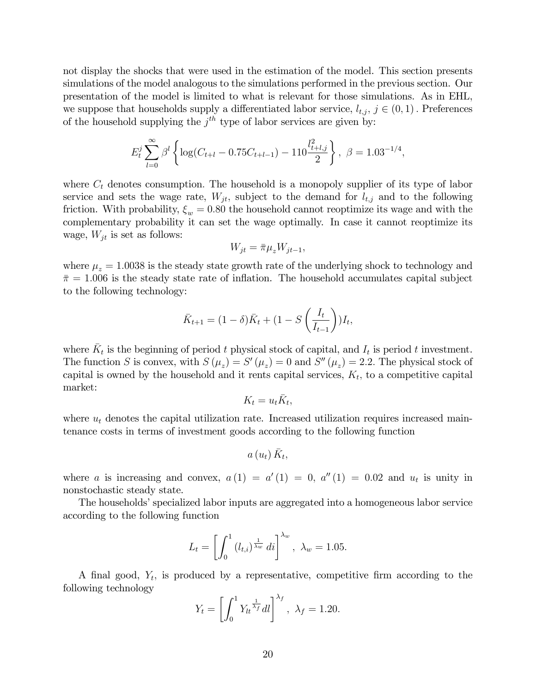not display the shocks that were used in the estimation of the model. This section presents simulations of the model analogous to the simulations performed in the previous section. Our presentation of the model is limited to what is relevant for those simulations. As in EHL, we suppose that households supply a differentiated labor service,  $l_{t,i}, j \in (0,1)$ . Preferences of the household supplying the  $j<sup>th</sup>$  type of labor services are given by:

$$
E_t^j \sum_{l=0}^{\infty} \beta^l \left\{ \log(C_{t+l} - 0.75C_{t+l-1}) - 110 \frac{l_{t+l,j}^2}{2} \right\}, \ \beta = 1.03^{-1/4},
$$

where  $C_t$  denotes consumption. The household is a monopoly supplier of its type of labor service and sets the wage rate,  $W_{jt}$ , subject to the demand for  $l_{t,j}$  and to the following friction. With probability,  $\xi_w = 0.80$  the household cannot reoptimize its wage and with the complementary probability it can set the wage optimally. In case it cannot reoptimize its wage,  $W_{jt}$  is set as follows:

$$
W_{jt} = \bar{\pi}\mu_z W_{jt-1},
$$

where  $\mu_z = 1.0038$  is the steady state growth rate of the underlying shock to technology and  $\bar{\pi} = 1.006$  is the steady state rate of inflation. The household accumulates capital subject to the following technology:

$$
\bar{K}_{t+1} = (1 - \delta)\bar{K}_t + (1 - S\left(\frac{I_t}{I_{t-1}}\right))I_t,
$$

where  $\bar{K}_t$  is the beginning of period t physical stock of capital, and  $I_t$  is period t investment. The function S is convex, with  $S(\mu_z) = S'(\mu_z) = 0$  and  $S''(\mu_z) = 2.2$ . The physical stock of capital is owned by the household and it rents capital services,  $K_t$ , to a competitive capital market:

$$
K_t = u_t \bar{K}_t,
$$

where  $u_t$  denotes the capital utilization rate. Increased utilization requires increased maintenance costs in terms of investment goods according to the following function

$$
a\left( u_{t}\right) \bar{K}_{t},
$$

where a is increasing and convex,  $a(1) = a'(1) = 0$ ,  $a''(1) = 0.02$  and  $u_t$  is unity in nonstochastic steady state.

The households' specialized labor inputs are aggregated into a homogeneous labor service according to the following function

$$
L_t = \left[ \int_0^1 (l_{t,i})^{\frac{1}{\lambda_w}} di \right]^{\lambda_w}, \ \lambda_w = 1.05.
$$

A final good,  $Y_t$ , is produced by a representative, competitive firm according to the following technology

$$
Y_t = \left[ \int_0^1 Y_{lt}^{\frac{1}{\lambda_f}} dl \right]^{\lambda_f}, \ \lambda_f = 1.20.
$$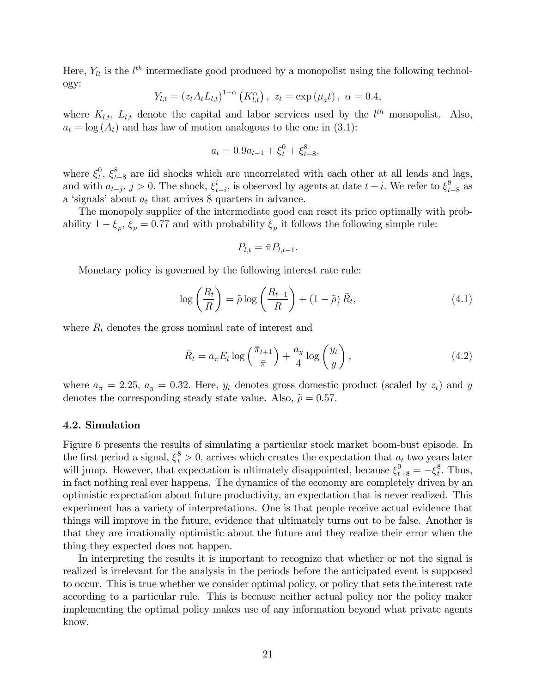Here,  $Y_{lt}$  is the  $l^{th}$  intermediate good produced by a monopolist using the following technology:

$$
Y_{l,t} = (z_t A_t L_{l,t})^{1-\alpha} (K_{l,t}^{\alpha}), \ z_t = \exp(\mu_z t), \ \alpha = 0.4,
$$

where  $K_{l,t}$ ,  $L_{l,t}$  denote the capital and labor services used by the  $l^{th}$  monopolist. Also,  $a_t = \log(A_t)$  and has law of motion analogous to the one in (3.1):

$$
a_t = 0.9a_{t-1} + \xi_t^0 + \xi_{t-8}^8,
$$

where  $\xi_t^0$  $t^8$ ,  $\xi_{t-8}^8$  are iid shocks which are uncorrelated with each other at all leads and lags, and with  $a_{t-j}, j > 0$ . The shock,  $\xi_t^i$  $t_{t-i}$ , is observed by agents at date  $t-i$ . We refer to  $\xi_{t-8}^8$  as a 'signals' about  $a_t$  that arrives 8 quarters in advance.

The monopoly supplier of the intermediate good can reset its price optimally with probability  $1 - \xi_p$ ,  $\xi_p = 0.77$  and with probability  $\xi_p$  it follows the following simple rule:

$$
P_{l,t} = \bar{\pi} P_{l,t-1}.
$$

Monetary policy is governed by the following interest rate rule:

$$
\log\left(\frac{R_t}{R}\right) = \tilde{\rho}\log\left(\frac{R_{t-1}}{R}\right) + (1-\tilde{\rho})\,\bar{R}_t,\tag{4.1}
$$

where  $R_t$  denotes the gross nominal rate of interest and

$$
\bar{R}_t = a_{\pi} E_t \log\left(\frac{\bar{\pi}_{t+1}}{\bar{\pi}}\right) + \frac{a_y}{4} \log\left(\frac{y_t}{y}\right),\tag{4.2}
$$

where  $a_{\pi} = 2.25$ ,  $a_y = 0.32$ . Here,  $y_t$  denotes gross domestic product (scaled by  $z_t$ ) and y denotes the corresponding steady state value. Also,  $\tilde{\rho} = 0.57$ .

### 4.2. Simulation

Figure 6 presents the results of simulating a particular stock market boom-bust episode. In the first period a signal,  $\xi_t^8 > 0$ , arrives which creates the expectation that  $a_t$  two years later will jump. However, that expectation is ultimately disappointed, because  $\xi_{t+8}^0 = -\xi_t^8$  $_t^8$ . Thus, in fact nothing real ever happens. The dynamics of the economy are completely driven by an optimistic expectation about future productivity, an expectation that is never realized. This experiment has a variety of interpretations. One is that people receive actual evidence that things will improve in the future, evidence that ultimately turns out to be false. Another is that they are irrationally optimistic about the future and they realize their error when the thing they expected does not happen.

In interpreting the results it is important to recognize that whether or not the signal is realized is irrelevant for the analysis in the periods before the anticipated event is supposed to occur. This is true whether we consider optimal policy, or policy that sets the interest rate according to a particular rule. This is because neither actual policy nor the policy maker implementing the optimal policy makes use of any information beyond what private agents know.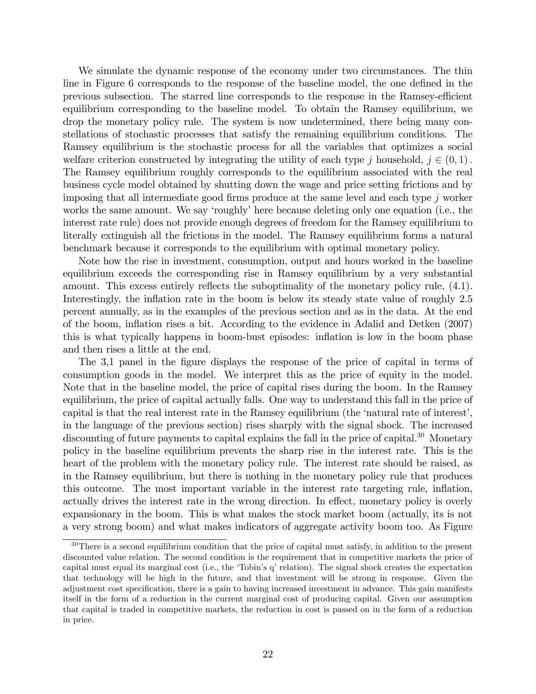We simulate the dynamic response of the economy under two circumstances. The thin line in Figure 6 corresponds to the response of the baseline model, the one defined in the previous subsection. The starred line corresponds to the response in the Ramsey-efficient equilibrium corresponding to the baseline model. To obtain the Ramsey equilibrium, we drop the monetary policy rule. The system is now undetermined, there being many constellations of stochastic processes that satisfy the remaining equilibrium conditions. The Ramsey equilibrium is the stochastic process for all the variables that optimizes a social welfare criterion constructed by integrating the utility of each type j household,  $j \in (0,1)$ . The Ramsey equilibrium roughly corresponds to the equilibrium associated with the real business cycle model obtained by shutting down the wage and price setting frictions and by imposing that all intermediate good firms produce at the same level and each type  $j$  worker works the same amount. We say 'roughly' here because deleting only one equation (i.e., the interest rate rule) does not provide enough degrees of freedom for the Ramsey equilibrium to literally extinguish all the frictions in the model. The Ramsey equilibrium forms a natural benchmark because it corresponds to the equilibrium with optimal monetary policy.

Note how the rise in investment, consumption, output and hours worked in the baseline equilibrium exceeds the corresponding rise in Ramsey equilibrium by a very substantial amount. This excess entirely reflects the suboptimality of the monetary policy rule,  $(4.1)$ . Interestingly, the inflation rate in the boom is below its steady state value of roughly 2.5 percent annually, as in the examples of the previous section and as in the data. At the end of the boom, ináation rises a bit. According to the evidence in Adalid and Detken (2007) this is what typically happens in boom-bust episodes: inflation is low in the boom phase and then rises a little at the end.

The 3,1 panel in the figure displays the response of the price of capital in terms of consumption goods in the model. We interpret this as the price of equity in the model. Note that in the baseline model, the price of capital rises during the boom. In the Ramsey equilibrium, the price of capital actually falls. One way to understand this fall in the price of capital is that the real interest rate in the Ramsey equilibrium (the 'natural rate of interest', in the language of the previous section) rises sharply with the signal shock. The increased discounting of future payments to capital explains the fall in the price of capital.<sup>30</sup> Monetary policy in the baseline equilibrium prevents the sharp rise in the interest rate. This is the heart of the problem with the monetary policy rule. The interest rate should be raised, as in the Ramsey equilibrium, but there is nothing in the monetary policy rule that produces this outcome. The most important variable in the interest rate targeting rule, ináation, actually drives the interest rate in the wrong direction. In effect, monetary policy is overly expansionary in the boom. This is what makes the stock market boom (actually, its is not a very strong boom) and what makes indicators of aggregate activity boom too. As Figure

<sup>&</sup>lt;sup>30</sup>There is a second equilibrium condition that the price of capital must satisfy, in addition to the present discounted value relation. The second condition is the requirement that in competitive markets the price of capital must equal its marginal cost (i.e., the 'Tobin's q' relation). The signal shock creates the expectation that technology will be high in the future, and that investment will be strong in response. Given the adjustment cost specification, there is a gain to having increased investment in advance. This gain manifests itself in the form of a reduction in the current marginal cost of producing capital. Given our assumption that capital is traded in competitive markets, the reduction in cost is passed on in the form of a reduction in price.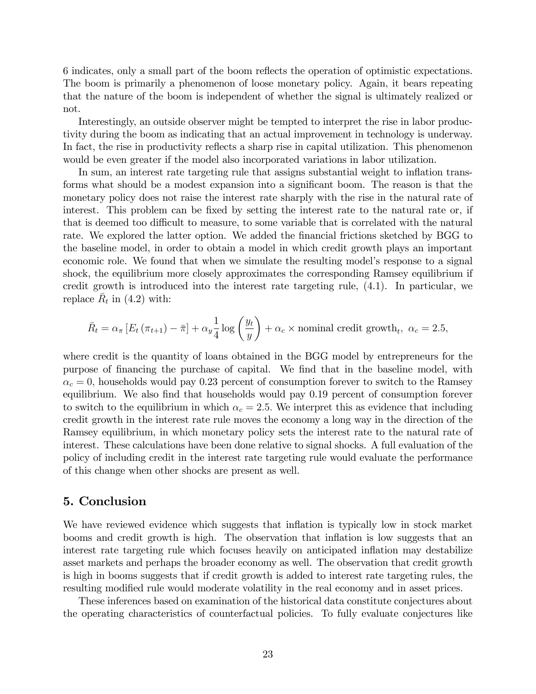6 indicates, only a small part of the boom reflects the operation of optimistic expectations. The boom is primarily a phenomenon of loose monetary policy. Again, it bears repeating that the nature of the boom is independent of whether the signal is ultimately realized or not.

Interestingly, an outside observer might be tempted to interpret the rise in labor productivity during the boom as indicating that an actual improvement in technology is underway. In fact, the rise in productivity reflects a sharp rise in capital utilization. This phenomenon would be even greater if the model also incorporated variations in labor utilization.

In sum, an interest rate targeting rule that assigns substantial weight to inflation transforms what should be a modest expansion into a significant boom. The reason is that the monetary policy does not raise the interest rate sharply with the rise in the natural rate of interest. This problem can be fixed by setting the interest rate to the natural rate or, if that is deemed too difficult to measure, to some variable that is correlated with the natural rate. We explored the latter option. We added the financial frictions sketched by BGG to the baseline model, in order to obtain a model in which credit growth plays an important economic role. We found that when we simulate the resulting model's response to a signal shock, the equilibrium more closely approximates the corresponding Ramsey equilibrium if credit growth is introduced into the interest rate targeting rule, (4.1). In particular, we replace  $\bar{R}_t$  in (4.2) with:

$$
\bar{R}_t = \alpha_{\pi} \left[ E_t \left( \pi_{t+1} \right) - \bar{\pi} \right] + \alpha_y \frac{1}{4} \log \left( \frac{y_t}{y} \right) + \alpha_c \times \text{nominal credit growth}_t, \ \alpha_c = 2.5,
$$

where credit is the quantity of loans obtained in the BGG model by entrepreneurs for the purpose of financing the purchase of capital. We find that in the baseline model, with  $\alpha_c = 0$ , households would pay 0.23 percent of consumption forever to switch to the Ramsey equilibrium. We also find that households would pay 0.19 percent of consumption forever to switch to the equilibrium in which  $\alpha_c = 2.5$ . We interpret this as evidence that including credit growth in the interest rate rule moves the economy a long way in the direction of the Ramsey equilibrium, in which monetary policy sets the interest rate to the natural rate of interest. These calculations have been done relative to signal shocks. A full evaluation of the policy of including credit in the interest rate targeting rule would evaluate the performance of this change when other shocks are present as well.

# 5. Conclusion

We have reviewed evidence which suggests that inflation is typically low in stock market booms and credit growth is high. The observation that inflation is low suggests that an interest rate targeting rule which focuses heavily on anticipated ináation may destabilize asset markets and perhaps the broader economy as well. The observation that credit growth is high in booms suggests that if credit growth is added to interest rate targeting rules, the resulting modified rule would moderate volatility in the real economy and in asset prices.

These inferences based on examination of the historical data constitute conjectures about the operating characteristics of counterfactual policies. To fully evaluate conjectures like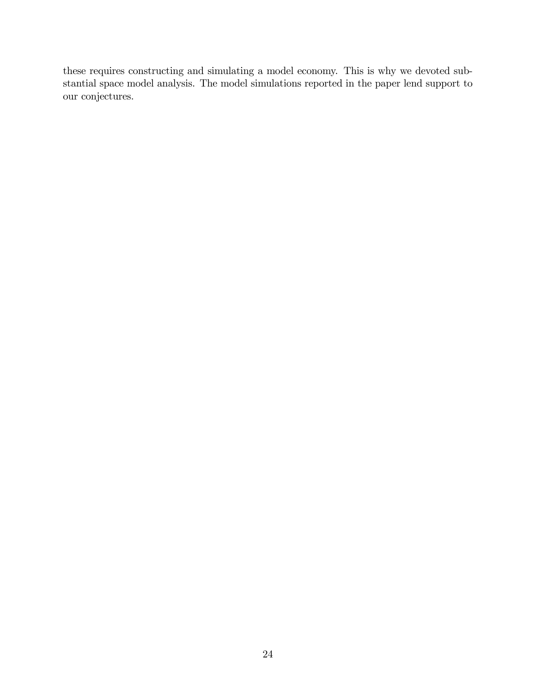these requires constructing and simulating a model economy. This is why we devoted substantial space model analysis. The model simulations reported in the paper lend support to our conjectures.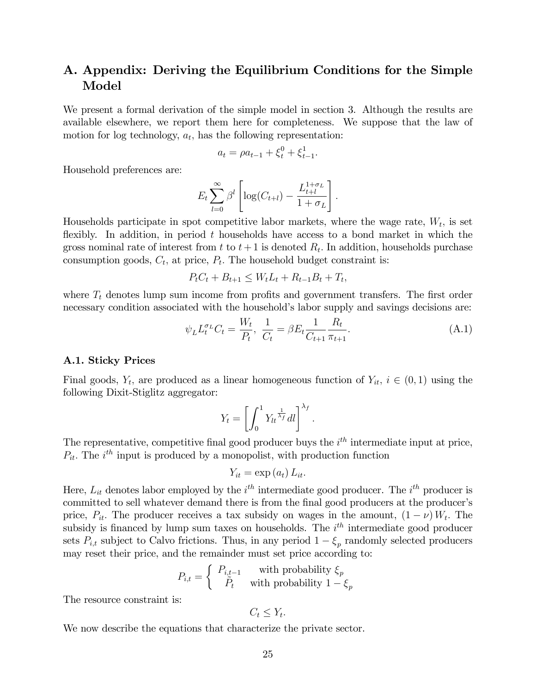# A. Appendix: Deriving the Equilibrium Conditions for the Simple Model

We present a formal derivation of the simple model in section 3. Although the results are available elsewhere, we report them here for completeness. We suppose that the law of motion for log technology,  $a_t$ , has the following representation:

$$
a_t = \rho a_{t-1} + \xi_t^0 + \xi_{t-1}^1.
$$

Household preferences are:

$$
E_t \sum_{l=0}^{\infty} \beta^l \left[ \log(C_{t+l}) - \frac{L_{t+l}^{1+\sigma_L}}{1+\sigma_L} \right].
$$

Households participate in spot competitive labor markets, where the wage rate,  $W_t$ , is set flexibly. In addition, in period  $t$  households have access to a bond market in which the gross nominal rate of interest from  $t$  to  $t+1$  is denoted  $R_t$ . In addition, households purchase consumption goods,  $C_t$ , at price,  $P_t$ . The household budget constraint is:

$$
P_t C_t + B_{t+1} \le W_t L_t + R_{t-1} B_t + T_t,
$$

where  $T_t$  denotes lump sum income from profits and government transfers. The first order necessary condition associated with the household's labor supply and savings decisions are:

$$
\psi_L L_t^{\sigma_L} C_t = \frac{W_t}{P_t}, \ \frac{1}{C_t} = \beta E_t \frac{1}{C_{t+1}} \frac{R_t}{\pi_{t+1}}.
$$
\n(A.1)

### A.1. Sticky Prices

Final goods,  $Y_t$ , are produced as a linear homogeneous function of  $Y_{it}$ ,  $i \in (0, 1)$  using the following Dixit-Stiglitz aggregator:

$$
Y_t = \left[ \int_0^1 Y_{lt}^{\frac{1}{\lambda_f}} dl \right]^{\lambda_f}.
$$

The representative, competitive final good producer buys the  $i<sup>th</sup>$  intermediate input at price,  $P_{it}$ . The  $i^{th}$  input is produced by a monopolist, with production function

$$
Y_{it} = \exp\left(a_{t}\right) L_{it}.
$$

Here,  $L_{it}$  denotes labor employed by the  $i^{th}$  intermediate good producer. The  $i^{th}$  producer is committed to sell whatever demand there is from the final good producers at the producer's price,  $P_{it}$ . The producer receives a tax subsidy on wages in the amount,  $(1 - \nu) W_t$ . The subsidy is financed by lump sum taxes on households. The  $i<sup>th</sup>$  intermediate good producer sets  $P_{i,t}$  subject to Calvo frictions. Thus, in any period  $1 - \xi_p$  randomly selected producers may reset their price, and the remainder must set price according to:

$$
P_{i,t} = \begin{cases} P_{i,t-1} & \text{with probability } \xi_p \\ \tilde{P}_t & \text{with probability } 1 - \xi_p \end{cases}
$$

The resource constraint is:

$$
C_t \leq Y_t
$$

:

We now describe the equations that characterize the private sector.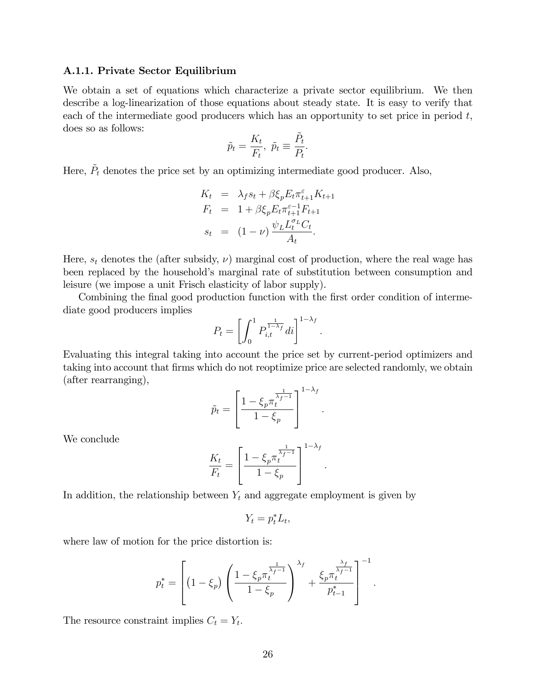### A.1.1. Private Sector Equilibrium

We obtain a set of equations which characterize a private sector equilibrium. We then describe a log-linearization of those equations about steady state. It is easy to verify that each of the intermediate good producers which has an opportunity to set price in period  $t$ , does so as follows:

$$
\tilde{p}_t = \frac{K_t}{F_t}, \ \tilde{p}_t \equiv \frac{\tilde{P}_t}{P_t}.
$$

Here,  $\tilde{P}_t$  denotes the price set by an optimizing intermediate good producer. Also,

$$
K_t = \lambda_f s_t + \beta \xi_p E_t \pi_{t+1}^{\varepsilon} K_{t+1}
$$
  
\n
$$
F_t = 1 + \beta \xi_p E_t \pi_{t+1}^{\varepsilon-1} F_{t+1}
$$
  
\n
$$
s_t = (1 - \nu) \frac{\psi_L L_t^{\sigma_L} C_t}{A_t}.
$$

Here,  $s_t$  denotes the (after subsidy,  $\nu$ ) marginal cost of production, where the real wage has been replaced by the household's marginal rate of substitution between consumption and leisure (we impose a unit Frisch elasticity of labor supply).

Combining the final good production function with the first order condition of intermediate good producers implies

$$
P_t = \left[ \int_0^1 P_{i,t}^{\frac{1}{1-\lambda_f}} dt \right]^{1-\lambda_f}.
$$

Evaluating this integral taking into account the price set by current-period optimizers and taking into account that firms which do not reoptimize price are selected randomly, we obtain (after rearranging),

$$
\tilde{p}_t = \left[\frac{1 - \xi_p \pi_t^{\frac{1}{\lambda_f - 1}}}{1 - \xi_p}\right]^{1 - \lambda_f}
$$

:

:

We conclude

$$
\frac{K_t}{F_t} = \left[\frac{1 - \xi_p \pi_t^{\frac{1}{\lambda_f - 1}}}{1 - \xi_p}\right]^{1 - \lambda_f}
$$

In addition, the relationship between  $Y_t$  and aggregate employment is given by

$$
Y_t = p_t^* L_t,
$$

where law of motion for the price distortion is:

$$
p_t^* = \left[ \left( 1 - \xi_p \right) \left( \frac{1 - \xi_p \pi_t^{\frac{1}{\lambda_f - 1}}}{1 - \xi_p} \right)^{\lambda_f} + \frac{\xi_p \pi_t^{\frac{\lambda_f}{\lambda_f - 1}}}{p_{t-1}^*} \right]^{-1}.
$$

The resource constraint implies  $C_t = Y_t$ .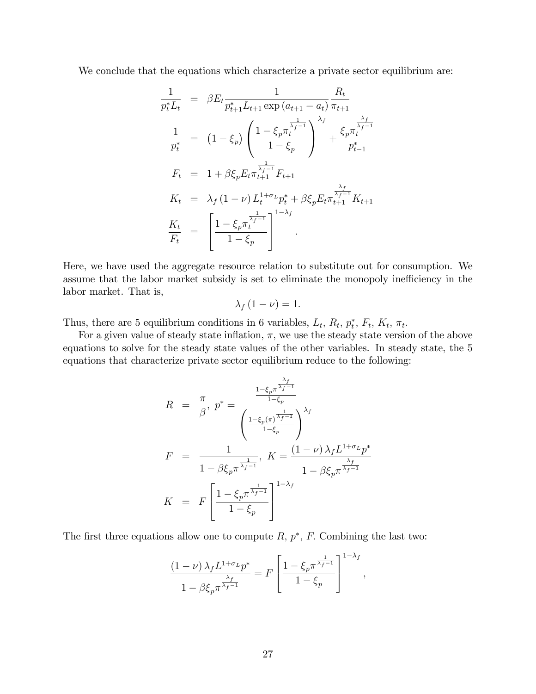We conclude that the equations which characterize a private sector equilibrium are:

$$
\frac{1}{p_t^* L_t} = \beta E_t \frac{1}{p_{t+1}^* L_{t+1} \exp(a_{t+1} - a_t)} \frac{R_t}{\pi_{t+1}}
$$
\n
$$
\frac{1}{p_t^*} = (1 - \xi_p) \left( \frac{1 - \xi_p \pi_t^{\frac{1}{\lambda_f - 1}}}{1 - \xi_p} \right)^{\lambda_f} + \frac{\xi_p \pi_t^{\frac{\lambda_f}{\lambda_f - 1}}}{p_{t-1}^*}
$$
\n
$$
F_t = 1 + \beta \xi_p E_t \pi_{t+1}^{\frac{1}{\lambda_f - 1}} F_{t+1}
$$
\n
$$
K_t = \lambda_f (1 - \nu) L_t^{1 + \sigma_L} p_t^* + \beta \xi_p E_t \pi_{t+1}^{\frac{\lambda_f}{\lambda_f - 1}} K_{t+1}
$$
\n
$$
\frac{K_t}{F_t} = \left[ \frac{1 - \xi_p \pi_t^{\frac{1}{\lambda_f - 1}}}{1 - \xi_p} \right]^{1 - \lambda_f}
$$

Here, we have used the aggregate resource relation to substitute out for consumption. We assume that the labor market subsidy is set to eliminate the monopoly inefficiency in the labor market. That is,

$$
\lambda_f\left(1-\nu\right)=1.
$$

Thus, there are 5 equilibrium conditions in 6 variables,  $L_t$ ,  $R_t$ ,  $p_t^*$ ,  $F_t$ ,  $K_t$ ,  $\pi_t$ .

For a given value of steady state inflation,  $\pi$ , we use the steady state version of the above equations to solve for the steady state values of the other variables. In steady state, the 5 equations that characterize private sector equilibrium reduce to the following:

$$
R = \frac{\pi}{\beta}, p^* = \frac{\frac{1 - \xi_p \pi^{\frac{\lambda_f}{\lambda_f - 1}}}{1 - \xi_p}}{\left(\frac{1 - \xi_p (\pi)^{\frac{1}{\lambda_f - 1}}}{1 - \xi_p}\right)^{\lambda_f}}
$$
  
\n
$$
F = \frac{1}{1 - \beta \xi_p \pi^{\frac{1}{\lambda_f - 1}}}, K = \frac{(1 - \nu) \lambda_f L^{1 + \sigma_L} p^*}{1 - \beta \xi_p \pi^{\frac{\lambda_f}{\lambda_f - 1}}}
$$
  
\n
$$
K = F\left[\frac{1 - \xi_p \pi^{\frac{1}{\lambda_f - 1}}}{1 - \xi_p}\right]^{1 - \lambda_f}
$$

The first three equations allow one to compute  $R$ ,  $p^*$ ,  $F$ . Combining the last two:

$$
\frac{(1-\nu)\lambda_f L^{1+\sigma_L}p^*}{1-\beta\xi_p\pi^{\frac{\lambda_f}{\lambda_f-1}}} = F\left[\frac{1-\xi_p\pi^{\frac{1}{\lambda_f-1}}}{1-\xi_p}\right]^{1-\lambda_f},
$$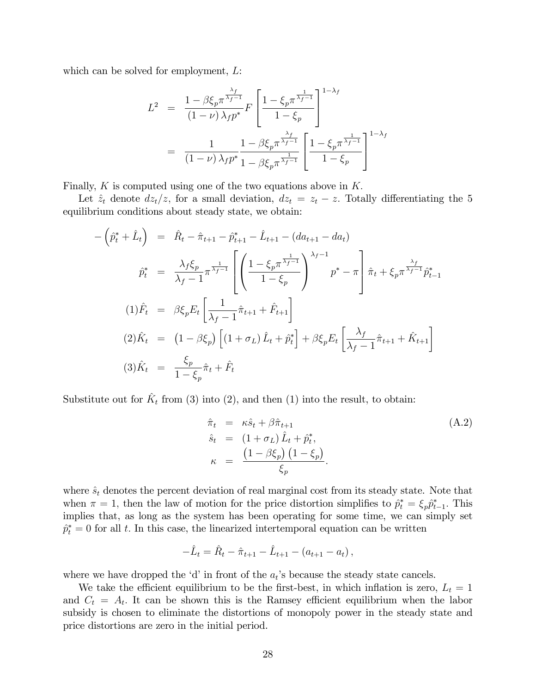which can be solved for employment,  $L$ :

$$
L^{2} = \frac{1 - \beta \xi_{p} \pi^{\frac{\lambda_{f}}{\lambda_{f}-1}}}{(1-\nu)\lambda_{f} p^{*}} F\left[\frac{1 - \xi_{p} \pi^{\frac{1}{\lambda_{f}-1}}}{1-\xi_{p}}\right]^{1-\lambda_{f}}
$$
  
= 
$$
\frac{1}{(1-\nu)\lambda_{f} p^{*}} \frac{1 - \beta \xi_{p} \pi^{\frac{\lambda_{f}}{\lambda_{f}-1}}}{1-\beta \xi_{p} \pi^{\frac{1}{\lambda_{f}-1}}} \left[\frac{1 - \xi_{p} \pi^{\frac{1}{\lambda_{f}-1}}}{1-\xi_{p}}\right]^{1-\lambda_{f}}
$$

Finally,  $K$  is computed using one of the two equations above in  $K$ .

Let  $\hat{z}_t$  denote  $dz_t/z$ , for a small deviation,  $dz_t = z_t - z$ . Totally differentiating the 5 equilibrium conditions about steady state, we obtain:

$$
-\left(\hat{p}_{t}^{*} + \hat{L}_{t}\right) = \hat{R}_{t} - \hat{\pi}_{t+1} - \hat{p}_{t+1}^{*} - \hat{L}_{t+1} - (da_{t+1} - da_{t})
$$
\n
$$
\hat{p}_{t}^{*} = \frac{\lambda_{f} \xi_{p}}{\lambda_{f} - 1} \pi^{\frac{1}{\lambda_{f} - 1}} \left[ \left( \frac{1 - \xi_{p} \pi^{\frac{1}{\lambda_{f} - 1}}}{1 - \xi_{p}} \right)^{\lambda_{f} - 1} p^{*} - \pi \right] \hat{\pi}_{t} + \xi_{p} \pi^{\frac{\lambda_{f}}{\lambda_{f} - 1}} \hat{p}_{t-1}^{*}
$$
\n
$$
(1)\hat{F}_{t} = \beta \xi_{p} E_{t} \left[ \frac{1}{\lambda_{f} - 1} \hat{\pi}_{t+1} + \hat{F}_{t+1} \right]
$$
\n
$$
(2)\hat{K}_{t} = \left( 1 - \beta \xi_{p} \right) \left[ (1 + \sigma_{L}) \hat{L}_{t} + \hat{p}_{t}^{*} \right] + \beta \xi_{p} E_{t} \left[ \frac{\lambda_{f}}{\lambda_{f} - 1} \hat{\pi}_{t+1} + \hat{K}_{t+1} \right]
$$
\n
$$
(3)\hat{K}_{t} = \frac{\xi_{p}}{1 - \xi_{p}} \hat{\pi}_{t} + \hat{F}_{t}
$$

Substitute out for  $\hat{K}_t$  from (3) into (2), and then (1) into the result, to obtain:

$$
\hat{\pi}_t = \kappa \hat{s}_t + \beta \hat{\pi}_{t+1} \n\hat{s}_t = (1 + \sigma_L) \hat{L}_t + \hat{p}_t^*,\n\kappa = \frac{(1 - \beta \xi_p) (1 - \xi_p)}{\xi_p}.
$$
\n(A.2)

where  $\hat{s}_t$  denotes the percent deviation of real marginal cost from its steady state. Note that when  $\pi = 1$ , then the law of motion for the price distortion simplifies to  $\hat{p}_t^* = \xi_p \hat{p}_{t-1}^*$ . This implies that, as long as the system has been operating for some time, we can simply set  $\hat{p}^*_t = 0$  for all t. In this case, the linearized intertemporal equation can be written

$$
-\hat{L}_t = \hat{R}_t - \hat{\pi}_{t+1} - \hat{L}_{t+1} - (a_{t+1} - a_t),
$$

where we have dropped the 'd' in front of the  $a_t$ 's because the steady state cancels.

We take the efficient equilibrium to be the first-best, in which inflation is zero,  $L_t = 1$ and  $C_t = A_t$ . It can be shown this is the Ramsey efficient equilibrium when the labor subsidy is chosen to eliminate the distortions of monopoly power in the steady state and price distortions are zero in the initial period.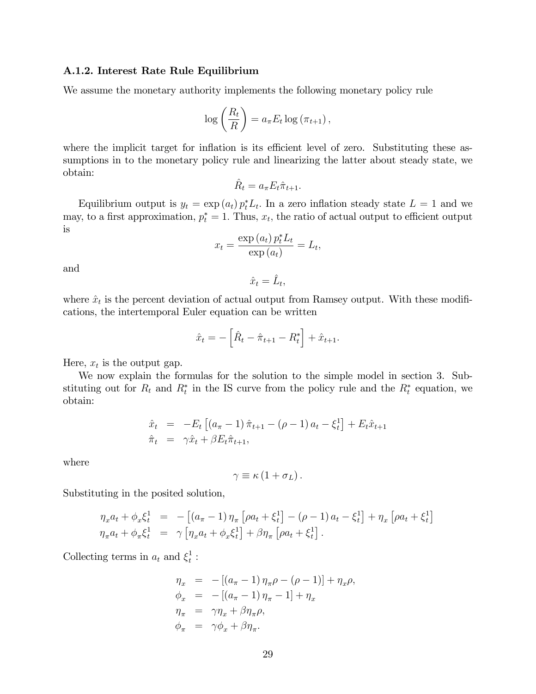### A.1.2. Interest Rate Rule Equilibrium

We assume the monetary authority implements the following monetary policy rule

$$
\log\left(\frac{R_t}{R}\right) = a_{\pi} E_t \log\left(\pi_{t+1}\right),\,
$$

where the implicit target for inflation is its efficient level of zero. Substituting these assumptions in to the monetary policy rule and linearizing the latter about steady state, we obtain:

 $\hat{R}_t = a_{\pi} E_t \hat{\pi}_{t+1}.$ 

Equilibrium output is  $y_t = \exp(a_t) p_t^* L_t$ . In a zero inflation steady state  $L = 1$  and we may, to a first approximation,  $p_t^* = 1$ . Thus,  $x_t$ , the ratio of actual output to efficient output is

$$
x_t = \frac{\exp(a_t) p_t^* L_t}{\exp(a_t)} = L_t,
$$

and

 $\hat{x}_t = \hat{L}_t,$ 

where  $\hat{x}_t$  is the percent deviation of actual output from Ramsey output. With these modifications, the intertemporal Euler equation can be written

$$
\hat{x}_t = -\left[\hat{R}_t - \hat{\pi}_{t+1} - R_t^*\right] + \hat{x}_{t+1}.
$$

Here,  $x_t$  is the output gap.

We now explain the formulas for the solution to the simple model in section 3. Substituting out for  $R_t$  and  $R_t^*$  in the IS curve from the policy rule and the  $R_t^*$  equation, we obtain:

$$
\begin{array}{rcl}\n\hat{x}_t & = & -E_t \left[ \left( a_\pi - 1 \right) \hat{\pi}_{t+1} - \left( \rho - 1 \right) a_t - \xi_t^1 \right] + E_t \hat{x}_{t+1} \\
\hat{\pi}_t & = & \gamma \hat{x}_t + \beta E_t \hat{\pi}_{t+1},\n\end{array}
$$

where

$$
\gamma \equiv \kappa \left( 1 + \sigma_L \right).
$$

Substituting in the posited solution,

$$
\eta_x a_t + \phi_x \xi_t^1 = -[(a_{\pi} - 1) \eta_{\pi} [\rho a_t + \xi_t^1] - (\rho - 1) a_t - \xi_t^1] + \eta_x [\rho a_t + \xi_t^1] \eta_{\pi} a_t + \phi_{\pi} \xi_t^1 = \gamma [\eta_x a_t + \phi_x \xi_t^1] + \beta \eta_{\pi} [\rho a_t + \xi_t^1].
$$

Collecting terms in  $a_t$  and  $\xi_t^1$  $\frac{1}{t}$ :

$$
\eta_x = -[(a_{\pi} - 1) \eta_{\pi}\rho - (\rho - 1)] + \eta_x \rho,
$$
  
\n
$$
\phi_x = -[(a_{\pi} - 1) \eta_{\pi} - 1] + \eta_x
$$
  
\n
$$
\eta_{\pi} = \gamma \eta_x + \beta \eta_{\pi}\rho,
$$
  
\n
$$
\phi_{\pi} = \gamma \phi_x + \beta \eta_{\pi}.
$$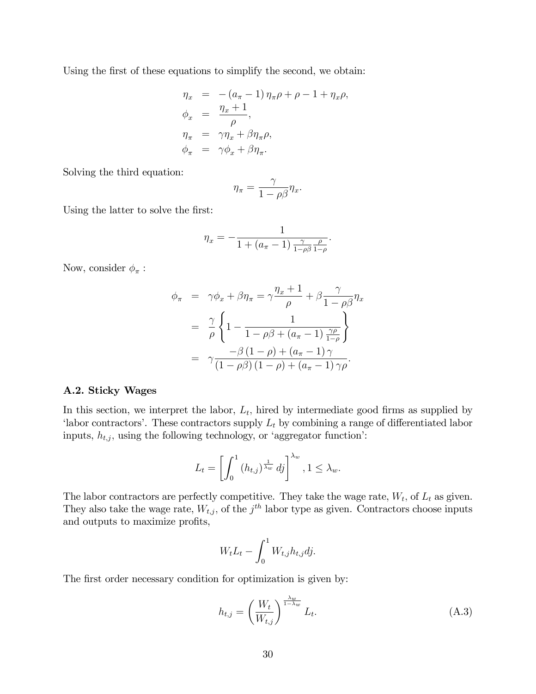Using the first of these equations to simplify the second, we obtain:

$$
\eta_x = -(a_{\pi} - 1) \eta_{\pi} \rho + \rho - 1 + \eta_x \rho,
$$
  
\n
$$
\phi_x = \frac{\eta_x + 1}{\rho},
$$
  
\n
$$
\eta_{\pi} = \gamma \eta_x + \beta \eta_{\pi} \rho,
$$
  
\n
$$
\phi_{\pi} = \gamma \phi_x + \beta \eta_{\pi}.
$$

Solving the third equation:

$$
\eta_\pi = \frac{\gamma}{1-\rho\beta}\eta_x.
$$

Using the latter to solve the first:

$$
\eta_x = -\frac{1}{1 + (a_{\pi} - 1) \frac{\gamma}{1 - \rho \beta} \frac{\rho}{1 - \rho}}.
$$

Now, consider  $\phi_{\pi}$ :

$$
\phi_{\pi} = \gamma \phi_x + \beta \eta_{\pi} = \gamma \frac{\eta_x + 1}{\rho} + \beta \frac{\gamma}{1 - \rho \beta} \eta_x
$$

$$
= \frac{\gamma}{\rho} \left\{ 1 - \frac{1}{1 - \rho \beta + (a_{\pi} - 1) \frac{\gamma \rho}{1 - \rho}} \right\}
$$

$$
= \gamma \frac{-\beta (1 - \rho) + (a_{\pi} - 1) \gamma}{(1 - \rho \beta) (1 - \rho) + (a_{\pi} - 1) \gamma \rho}.
$$

### A.2. Sticky Wages

In this section, we interpret the labor,  $L_t$ , hired by intermediate good firms as supplied by 'labor contractors'. These contractors supply  $L_t$  by combining a range of differentiated labor inputs,  $h_{t,j}$ , using the following technology, or 'aggregator function':

$$
L_t = \left[ \int_0^1 (h_{t,j})^{\frac{1}{\lambda_w}} dy \right]^{\lambda_w}, 1 \le \lambda_w.
$$

The labor contractors are perfectly competitive. They take the wage rate,  $W_t$ , of  $L_t$  as given. They also take the wage rate,  $W_{t,j}$ , of the  $j^{th}$  labor type as given. Contractors choose inputs and outputs to maximize profits,

$$
W_t L_t - \int_0^1 W_{t,j} h_{t,j} dj.
$$

The first order necessary condition for optimization is given by:

$$
h_{t,j} = \left(\frac{W_t}{W_{t,j}}\right)^{\frac{\lambda_w}{1-\lambda_w}} L_t.
$$
\n(A.3)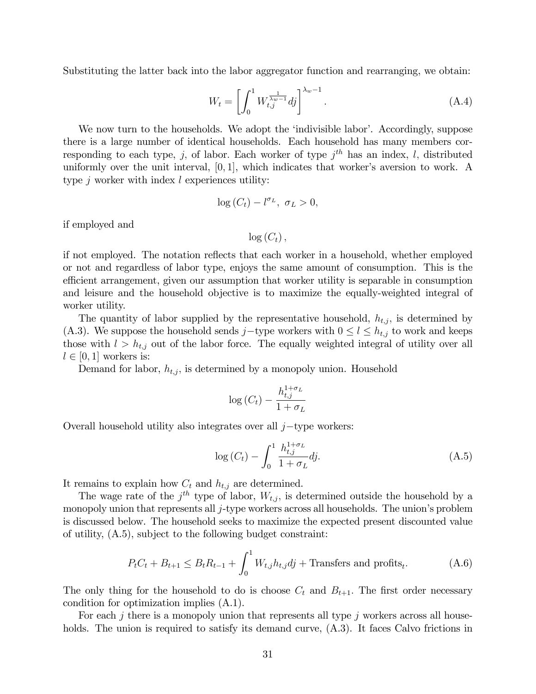Substituting the latter back into the labor aggregator function and rearranging, we obtain:

$$
W_t = \left[ \int_0^1 W_{t,j}^{\frac{1}{\lambda_w - 1}} dj \right]^{\lambda_w - 1}.
$$
 (A.4)

We now turn to the households. We adopt the 'indivisible labor'. Accordingly, suppose there is a large number of identical households. Each household has many members corresponding to each type, j, of labor. Each worker of type  $j^{th}$  has an index, l, distributed uniformly over the unit interval,  $[0, 1]$ , which indicates that worker's aversion to work. A type  $j$  worker with index  $l$  experiences utility:

$$
\log\left(C_{t}\right)-l^{\sigma_{L}}, \ \sigma_{L}>0,
$$

if employed and

 $\log(C_t)$ ,

if not employed. The notation reflects that each worker in a household, whether employed or not and regardless of labor type, enjoys the same amount of consumption. This is the efficient arrangement, given our assumption that worker utility is separable in consumption and leisure and the household objective is to maximize the equally-weighted integral of worker utility.

The quantity of labor supplied by the representative household,  $h_{t,j}$ , is determined by (A.3). We suppose the household sends j-type workers with  $0 \le l \le h_{t,j}$  to work and keeps those with  $l > h_{t,j}$  out of the labor force. The equally weighted integral of utility over all  $l \in [0, 1]$  workers is:

Demand for labor,  $h_{t,j}$ , is determined by a monopoly union. Household

$$
\log\left(C_{t}\right) - \frac{h_{t,j}^{1+\sigma_{L}}}{1+\sigma_{L}}
$$

Overall household utility also integrates over all  $j$ -type workers:

$$
\log(C_t) - \int_0^1 \frac{h_{t,j}^{1+\sigma_L}}{1+\sigma_L} dj.
$$
\n(A.5)

It remains to explain how  $C_t$  and  $h_{t,j}$  are determined.

The wage rate of the  $j<sup>th</sup>$  type of labor,  $W_{t,j}$ , is determined outside the household by a monopoly union that represents all  $j$ -type workers across all households. The union's problem is discussed below. The household seeks to maximize the expected present discounted value of utility, (A.5), subject to the following budget constraint:

$$
P_t C_t + B_{t+1} \le B_t R_{t-1} + \int_0^1 W_{t,j} h_{t,j} dj + \text{Transfers and profits}_t.
$$
 (A.6)

The only thing for the household to do is choose  $C_t$  and  $B_{t+1}$ . The first order necessary condition for optimization implies (A.1).

For each  $j$  there is a monopoly union that represents all type  $j$  workers across all households. The union is required to satisfy its demand curve,  $(A.3)$ . It faces Calvo frictions in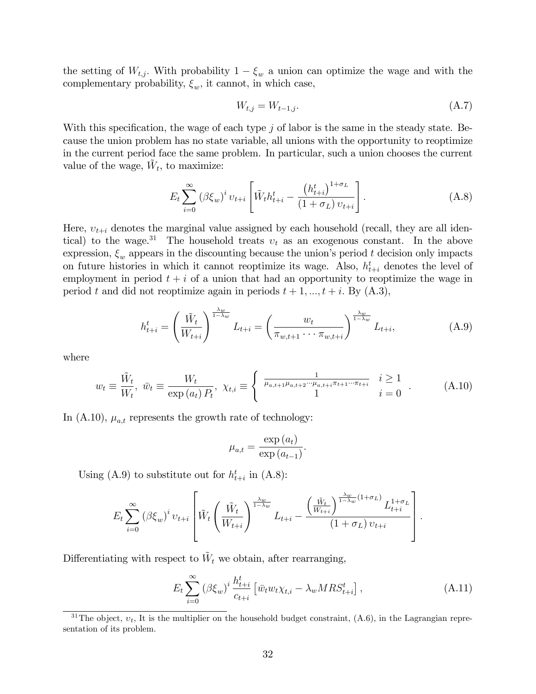the setting of  $W_{t,j}$ . With probability  $1 - \xi_w$  a union can optimize the wage and with the complementary probability,  $\xi_w$ , it cannot, in which case,

$$
W_{t,j} = W_{t-1,j}.\tag{A.7}
$$

With this specification, the wage of each type  $j$  of labor is the same in the steady state. Because the union problem has no state variable, all unions with the opportunity to reoptimize in the current period face the same problem. In particular, such a union chooses the current value of the wage,  $\tilde{W}_t$ , to maximize:

$$
E_t \sum_{i=0}^{\infty} (\beta \xi_w)^i v_{t+i} \left[ \tilde{W}_t h_{t+i}^t - \frac{\left(h_{t+i}^t\right)^{1+\sigma_L}}{(1+\sigma_L) v_{t+i}} \right].
$$
 (A.8)

Here,  $v_{t+i}$  denotes the marginal value assigned by each household (recall, they are all identical) to the wage.<sup>31</sup> The household treats  $v_t$  as an exogenous constant. In the above expression,  $\xi_w$  appears in the discounting because the union's period t decision only impacts on future histories in which it cannot reoptimize its wage. Also,  $h_{t+i}^t$  denotes the level of employment in period  $t + i$  of a union that had an opportunity to reoptimize the wage in period t and did not reoptimize again in periods  $t + 1, ..., t + i$ . By  $(A.3)$ ,

$$
h_{t+i}^t = \left(\frac{\tilde{W}_t}{W_{t+i}}\right)^{\frac{\lambda_w}{1-\lambda_w}} L_{t+i} = \left(\frac{w_t}{\pi_{w,t+1}\cdots\pi_{w,t+i}}\right)^{\frac{\lambda_w}{1-\lambda_w}} L_{t+i},
$$
(A.9)

where

$$
w_t \equiv \frac{\tilde{W}_t}{W_t}, \ \bar{w}_t \equiv \frac{W_t}{\exp(a_t) P_t}, \ \chi_{t,i} \equiv \begin{cases} \frac{1}{\mu_{a,t+1} \mu_{a,t+2} \cdots \mu_{a,t+i} \pi_{t+1} \cdots \pi_{t+i}} & i \ge 1 \\ 1 & i = 0 \end{cases} . \tag{A.10}
$$

In (A.10),  $\mu_{a,t}$  represents the growth rate of technology:

$$
\mu_{a,t} = \frac{\exp(a_t)}{\exp(a_{t-1})}.
$$

Using (A.9) to substitute out for  $h_{t+i}^t$  in (A.8):

$$
E_t \sum_{i=0}^{\infty} (\beta \xi_w)^i v_{t+i} \left[ \tilde{W}_t \left( \frac{\tilde{W}_t}{W_{t+i}} \right)^{\frac{\lambda_w}{1-\lambda_w}} L_{t+i} - \frac{\left( \frac{\tilde{W}_t}{W_{t+i}} \right)^{\frac{\lambda_w}{1-\lambda_w}(1+\sigma_L)} L_{t+i}^{1+\sigma_L}}{(1+\sigma_L) v_{t+i}} \right].
$$

Differentiating with respect to  $\tilde{W}_t$  we obtain, after rearranging,

$$
E_t \sum_{i=0}^{\infty} (\beta \xi_w)^i \frac{h_{t+i}^t}{c_{t+i}} \left[ \bar{w}_t w_t \chi_{t,i} - \lambda_w M R S_{t+i}^t \right], \tag{A.11}
$$

<sup>&</sup>lt;sup>31</sup>The object,  $v_t$ , It is the multiplier on the household budget constraint, (A.6), in the Lagrangian representation of its problem.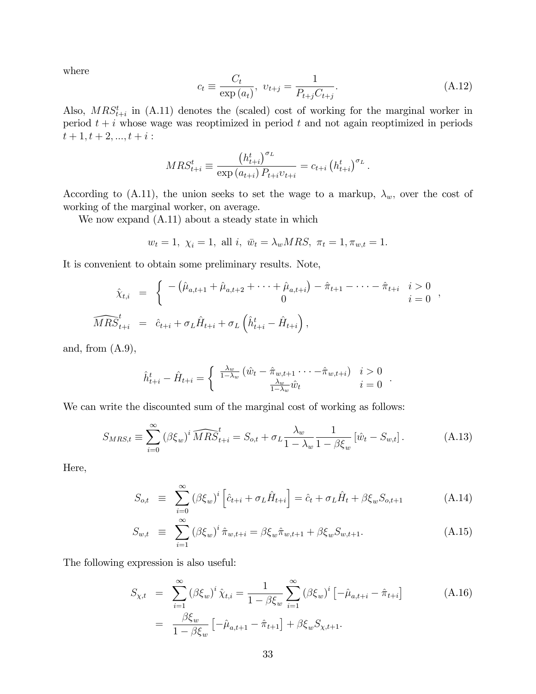where

$$
c_{t} \equiv \frac{C_{t}}{\exp(a_{t})}, \ v_{t+j} = \frac{1}{P_{t+j}C_{t+j}}.
$$
\n(A.12)

:

Also,  $MRS_{t+i}^t$  in (A.11) denotes the (scaled) cost of working for the marginal worker in period  $t + i$  whose wage was reoptimized in period t and not again reoptimized in periods  $t + 1, t + 2, ..., t + i$ :

$$
MRS_{t+i}^{t} \equiv \frac{\left(h_{t+i}^{t}\right)^{\sigma_{L}}}{\exp(a_{t+i}) P_{t+i} v_{t+i}} = c_{t+i} \left(h_{t+i}^{t}\right)^{\sigma_{L}}
$$

According to (A.11), the union seeks to set the wage to a markup,  $\lambda_w$ , over the cost of working of the marginal worker, on average.

We now expand (A.11) about a steady state in which

$$
w_t = 1
$$
,  $\chi_i = 1$ , all  $i$ ,  $\bar{w}_t = \lambda_w MRS$ ,  $\pi_t = 1, \pi_{w,t} = 1$ .

It is convenient to obtain some preliminary results. Note,

$$
\hat{\chi}_{t,i} = \begin{cases}\n-(\hat{\mu}_{a,t+1} + \hat{\mu}_{a,t+2} + \cdots + \hat{\mu}_{a,t+i}) - \hat{\pi}_{t+1} - \cdots - \hat{\pi}_{t+i} & i > 0 \\
0 & i = 0\n\end{cases},
$$
\n
$$
\widehat{MRS}_{t+i}^t = \hat{c}_{t+i} + \sigma_L \hat{H}_{t+i} + \sigma_L \left(\hat{h}_{t+i}^t - \hat{H}_{t+i}\right),
$$

and, from  $(A.9)$ ,

$$
\hat{h}_{t+i}^t - \hat{H}_{t+i} = \begin{cases}\n\frac{\lambda_w}{1 - \lambda_w} \left( \hat{w}_t - \hat{\pi}_{w,t+1} \cdots - \hat{\pi}_{w,t+i} \right) & i > 0 \\
\frac{\lambda_w}{1 - \lambda_w} \hat{w}_t & i = 0\n\end{cases}.
$$

We can write the discounted sum of the marginal cost of working as follows:

$$
S_{MRS,t} \equiv \sum_{i=0}^{\infty} (\beta \xi_w)^i \widehat{MRS}_{t+i}^t = S_{o,t} + \sigma_L \frac{\lambda_w}{1 - \lambda_w} \frac{1}{1 - \beta \xi_w} [\hat{w}_t - S_{w,t}]. \tag{A.13}
$$

Here,

$$
S_{o,t} \equiv \sum_{i=0}^{\infty} (\beta \xi_w)^i \left[ \hat{c}_{t+i} + \sigma_L \hat{H}_{t+i} \right] = \hat{c}_t + \sigma_L \hat{H}_t + \beta \xi_w S_{o,t+1}
$$
 (A.14)

$$
S_{w,t} \equiv \sum_{i=1}^{\infty} (\beta \xi_w)^i \hat{\pi}_{w,t+i} = \beta \xi_w \hat{\pi}_{w,t+1} + \beta \xi_w S_{w,t+1}.
$$
 (A.15)

The following expression is also useful:

$$
S_{\chi,t} = \sum_{i=1}^{\infty} (\beta \xi_w)^i \hat{\chi}_{t,i} = \frac{1}{1 - \beta \xi_w} \sum_{i=1}^{\infty} (\beta \xi_w)^i \left[ -\hat{\mu}_{a,t+i} - \hat{\pi}_{t+i} \right]
$$
(A.16)  

$$
= \frac{\beta \xi_w}{1 - \beta \xi_w} \left[ -\hat{\mu}_{a,t+1} - \hat{\pi}_{t+1} \right] + \beta \xi_w S_{\chi,t+1}.
$$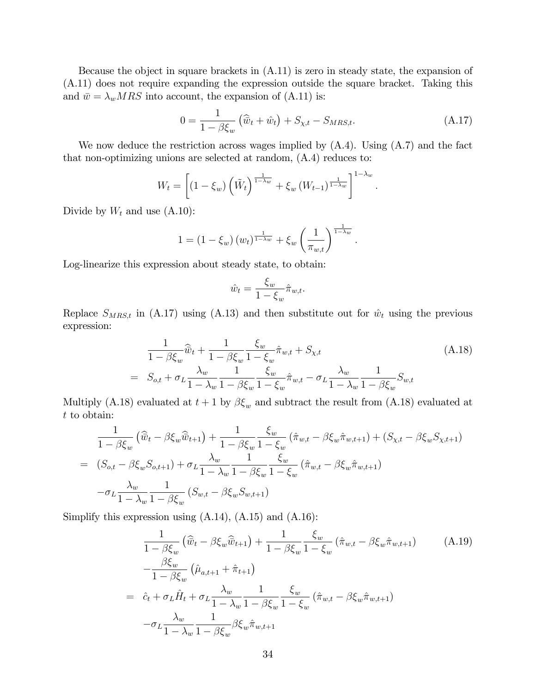Because the object in square brackets in (A.11) is zero in steady state, the expansion of (A.11) does not require expanding the expression outside the square bracket. Taking this and  $\bar{w} = \lambda_w MRS$  into account, the expansion of (A.11) is:

$$
0 = \frac{1}{1 - \beta \xi_w} \left( \hat{\bar{w}}_t + \hat{w}_t \right) + S_{\chi, t} - S_{MRS, t}.
$$
 (A.17)

We now deduce the restriction across wages implied by  $(A.4)$ . Using  $(A.7)$  and the fact that non-optimizing unions are selected at random, (A.4) reduces to:

$$
W_t = \left[ \left( 1 - \xi_w \right) \left( \tilde{W}_t \right)^{\frac{1}{1 - \lambda_w}} + \xi_w \left( W_{t-1} \right)^{\frac{1}{1 - \lambda_w}} \right]^{1 - \lambda_w}.
$$

Divide by  $W_t$  and use  $(A.10)$ :

$$
1 = (1 - \xi_w) (w_t)^{\frac{1}{1 - \lambda_w}} + \xi_w \left(\frac{1}{\pi_{w,t}}\right)^{\frac{1}{1 - \lambda_w}}.
$$

Log-linearize this expression about steady state, to obtain:

$$
\hat{w}_t = \frac{\xi_w}{1 - \xi_w} \hat{\pi}_{w,t}.
$$

Replace  $S_{MRS,t}$  in (A.17) using (A.13) and then substitute out for  $\hat{w}_t$  using the previous expression:

$$
\frac{1}{1 - \beta \xi_w} \widehat{\bar{w}}_t + \frac{1}{1 - \beta \xi_w} \frac{\xi_w}{1 - \xi_w} \hat{\pi}_{w,t} + S_{\chi,t} \tag{A.18}
$$
\n
$$
= S_{o,t} + \sigma_L \frac{\lambda_w}{1 - \lambda_w} \frac{1}{1 - \beta \xi_w} \frac{\xi_w}{1 - \xi_w} \hat{\pi}_{w,t} - \sigma_L \frac{\lambda_w}{1 - \lambda_w} \frac{1}{1 - \beta \xi_w} S_{w,t}
$$

Multiply (A.18) evaluated at  $t+1$  by  $\beta \xi_w$  and subtract the result from (A.18) evaluated at t to obtain:

$$
\frac{1}{1 - \beta \xi_w} \left( \widehat{\vec{w}}_t - \beta \xi_w \widehat{\vec{w}}_{t+1} \right) + \frac{1}{1 - \beta \xi_w} \frac{\xi_w}{1 - \xi_w} \left( \widehat{\pi}_{w,t} - \beta \xi_w \widehat{\pi}_{w,t+1} \right) + \left( S_{\chi,t} - \beta \xi_w S_{\chi,t+1} \right)
$$
\n
$$
= \left( S_{o,t} - \beta \xi_w S_{o,t+1} \right) + \sigma_L \frac{\lambda_w}{1 - \lambda_w} \frac{1}{1 - \beta \xi_w} \frac{\xi_w}{1 - \xi_w} \left( \widehat{\pi}_{w,t} - \beta \xi_w \widehat{\pi}_{w,t+1} \right)
$$
\n
$$
- \sigma_L \frac{\lambda_w}{1 - \lambda_w} \frac{1}{1 - \beta \xi_w} \left( S_{w,t} - \beta \xi_w S_{w,t+1} \right)
$$

Simplify this expression using  $(A.14)$ ,  $(A.15)$  and  $(A.16)$ :

$$
\frac{1}{1 - \beta \xi_w} \left( \widehat{\bar{w}}_t - \beta \xi_w \widehat{\bar{w}}_{t+1} \right) + \frac{1}{1 - \beta \xi_w} \frac{\xi_w}{1 - \xi_w} \left( \widehat{\pi}_{w,t} - \beta \xi_w \widehat{\pi}_{w,t+1} \right) \tag{A.19}
$$
\n
$$
-\frac{\beta \xi_w}{1 - \beta \xi_w} \left( \widehat{\mu}_{a,t+1} + \widehat{\pi}_{t+1} \right)
$$
\n
$$
= \widehat{c}_t + \sigma_L \widehat{H}_t + \sigma_L \frac{\lambda_w}{1 - \lambda_w} \frac{1}{1 - \beta \xi_w} \frac{\xi_w}{1 - \xi_w} \left( \widehat{\pi}_{w,t} - \beta \xi_w \widehat{\pi}_{w,t+1} \right)
$$
\n
$$
-\sigma_L \frac{\lambda_w}{1 - \lambda_w} \frac{1}{1 - \beta \xi_w} \beta \xi_w \widehat{\pi}_{w,t+1}
$$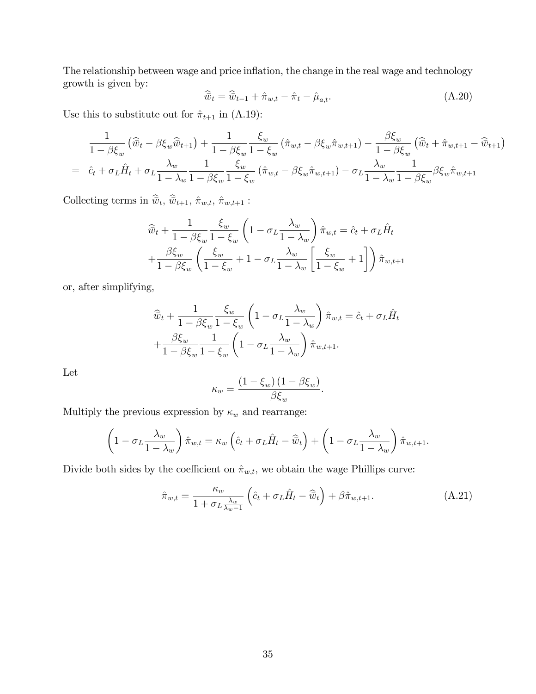The relationship between wage and price inflation, the change in the real wage and technology growth is given by:

$$
\widehat{\overline{w}}_t = \widehat{\overline{w}}_{t-1} + \widehat{\pi}_{w,t} - \widehat{\pi}_t - \widehat{\mu}_{a,t}.
$$
\n(A.20)

Use this to substitute out for  $\hat{\pi}_{t+1}$  in (A.19):

$$
\frac{1}{1-\beta\xi_w} \left( \widehat{\bar{w}}_t - \beta\xi_w \widehat{\bar{w}}_{t+1} \right) + \frac{1}{1-\beta\xi_w} \frac{\xi_w}{1-\xi_w} \left( \widehat{\pi}_{w,t} - \beta\xi_w \widehat{\pi}_{w,t+1} \right) - \frac{\beta\xi_w}{1-\beta\xi_w} \left( \widehat{\bar{w}}_t + \widehat{\pi}_{w,t+1} - \widehat{\bar{w}}_{t+1} \right)
$$
\n
$$
= \ \widehat{c}_t + \sigma_L \widehat{H}_t + \sigma_L \frac{\lambda_w}{1-\lambda_w} \frac{1}{1-\beta\xi_w} \frac{\xi_w}{1-\xi_w} \left( \widehat{\pi}_{w,t} - \beta\xi_w \widehat{\pi}_{w,t+1} \right) - \sigma_L \frac{\lambda_w}{1-\lambda_w} \frac{1}{1-\beta\xi_w} \beta\xi_w \widehat{\pi}_{w,t+1}
$$

Collecting terms in  $\widehat{\vec{w}}_t$ ,  $\widehat{\vec{w}}_{t+1}$ ,  $\hat{\pi}_{w,t}$ ,  $\hat{\pi}_{w,t+1}$ :

$$
\widehat{w}_t + \frac{1}{1 - \beta \xi_w} \frac{\xi_w}{1 - \xi_w} \left( 1 - \sigma_L \frac{\lambda_w}{1 - \lambda_w} \right) \widehat{\pi}_{w,t} = \widehat{c}_t + \sigma_L \widehat{H}_t
$$

$$
+ \frac{\beta \xi_w}{1 - \beta \xi_w} \left( \frac{\xi_w}{1 - \xi_w} + 1 - \sigma_L \frac{\lambda_w}{1 - \lambda_w} \left[ \frac{\xi_w}{1 - \xi_w} + 1 \right] \right) \widehat{\pi}_{w,t+1}
$$

or, after simplifying,

$$
\widehat{w}_t + \frac{1}{1 - \beta \xi_w} \frac{\xi_w}{1 - \xi_w} \left( 1 - \sigma_L \frac{\lambda_w}{1 - \lambda_w} \right) \widehat{\pi}_{w,t} = \widehat{c}_t + \sigma_L \widehat{H}_t \n+ \frac{\beta \xi_w}{1 - \beta \xi_w} \frac{1}{1 - \xi_w} \left( 1 - \sigma_L \frac{\lambda_w}{1 - \lambda_w} \right) \widehat{\pi}_{w,t+1}.
$$

Let

$$
\kappa_w = \frac{\left(1 - \xi_w\right)\left(1 - \beta \xi_w\right)}{\beta \xi_w}.
$$

Multiply the previous expression by  $\kappa_w$  and rearrange:

$$
\left(1 - \sigma_L \frac{\lambda_w}{1 - \lambda_w}\right) \hat{\pi}_{w,t} = \kappa_w \left(\hat{c}_t + \sigma_L \hat{H}_t - \hat{\overline{w}}_t\right) + \left(1 - \sigma_L \frac{\lambda_w}{1 - \lambda_w}\right) \hat{\pi}_{w,t+1}.
$$

Divide both sides by the coefficient on  $\hat{\pi}_{w,t}$ , we obtain the wage Phillips curve:

$$
\hat{\pi}_{w,t} = \frac{\kappa_w}{1 + \sigma_L \frac{\lambda_w}{\lambda_w - 1}} \left( \hat{c}_t + \sigma_L \hat{H}_t - \hat{\overline{w}}_t \right) + \beta \hat{\pi}_{w,t+1}.
$$
\n(A.21)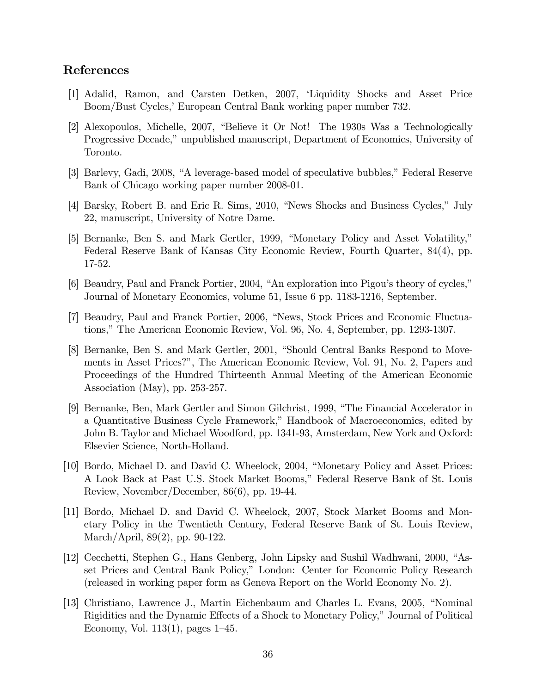# References

- [1] Adalid, Ramon, and Carsten Detken, 2007, ëLiquidity Shocks and Asset Price Boom/Bust Cycles,' European Central Bank working paper number 732.
- [2] Alexopoulos, Michelle, 2007, "Believe it Or Not! The 1930s Was a Technologically Progressive Decade," unpublished manuscript, Department of Economics, University of Toronto.
- [3] Barlevy, Gadi, 2008, "A leverage-based model of speculative bubbles," Federal Reserve Bank of Chicago working paper number 2008-01.
- [4] Barsky, Robert B. and Eric R. Sims, 2010, "News Shocks and Business Cycles," July 22, manuscript, University of Notre Dame.
- [5] Bernanke, Ben S. and Mark Gertler, 1999, "Monetary Policy and Asset Volatility," Federal Reserve Bank of Kansas City Economic Review, Fourth Quarter, 84(4), pp. 17-52.
- [6] Beaudry, Paul and Franck Portier, 2004, "An exploration into Pigou's theory of cycles," Journal of Monetary Economics, volume 51, Issue 6 pp. 1183-1216, September.
- [7] Beaudry, Paul and Franck Portier, 2006, "News, Stock Prices and Economic Fluctuations," The American Economic Review, Vol. 96, No. 4, September, pp. 1293-1307.
- [8] Bernanke, Ben S. and Mark Gertler, 2001, "Should Central Banks Respond to Movements in Asset Prices?î, The American Economic Review, Vol. 91, No. 2, Papers and Proceedings of the Hundred Thirteenth Annual Meeting of the American Economic Association (May), pp. 253-257.
- [9] Bernanke, Ben, Mark Gertler and Simon Gilchrist, 1999, "The Financial Accelerator in a Quantitative Business Cycle Framework," Handbook of Macroeconomics, edited by John B. Taylor and Michael Woodford, pp. 1341-93, Amsterdam, New York and Oxford: Elsevier Science, North-Holland.
- [10] Bordo, Michael D. and David C. Wheelock, 2004, "Monetary Policy and Asset Prices: A Look Back at Past U.S. Stock Market Booms,î Federal Reserve Bank of St. Louis Review, November/December, 86(6), pp. 19-44.
- [11] Bordo, Michael D. and David C. Wheelock, 2007, Stock Market Booms and Monetary Policy in the Twentieth Century, Federal Reserve Bank of St. Louis Review, March/April, 89(2), pp. 90-122.
- [12] Cecchetti, Stephen G., Hans Genberg, John Lipsky and Sushil Wadhwani, 2000, "Asset Prices and Central Bank Policy,î London: Center for Economic Policy Research (released in working paper form as Geneva Report on the World Economy No. 2).
- [13] Christiano, Lawrence J., Martin Eichenbaum and Charles L. Evans, 2005, "Nominal" Rigidities and the Dynamic Effects of a Shock to Monetary Policy," Journal of Political Economy, Vol.  $113(1)$ , pages  $1-45$ .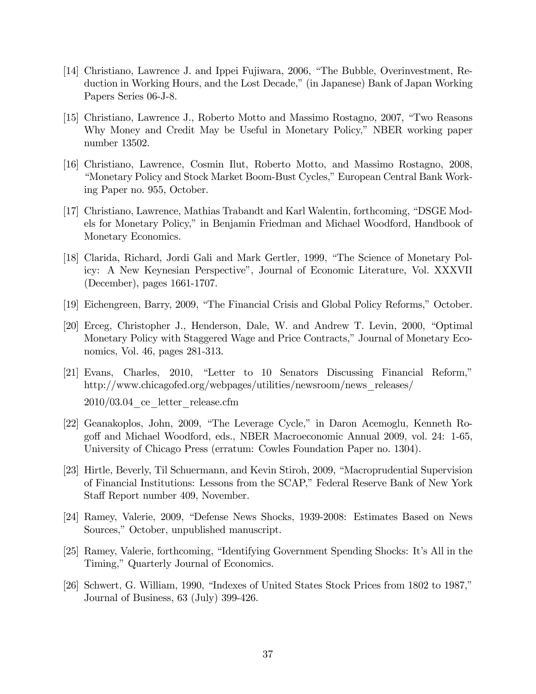- [14] Christiano, Lawrence J. and Ippei Fujiwara, 2006, "The Bubble, Overinvestment, Reduction in Working Hours, and the Lost Decade," (in Japanese) Bank of Japan Working Papers Series 06-J-8.
- [15] Christiano, Lawrence J., Roberto Motto and Massimo Rostagno, 2007, "Two Reasons" Why Money and Credit May be Useful in Monetary Policy," NBER working paper number 13502.
- [16] Christiano, Lawrence, Cosmin Ilut, Roberto Motto, and Massimo Rostagno, 2008, ìMonetary Policy and Stock Market Boom-Bust Cycles,îEuropean Central Bank Working Paper no. 955, October.
- [17] Christiano, Lawrence, Mathias Trabandt and Karl Walentin, forthcoming, "DSGE Models for Monetary Policy," in Benjamin Friedman and Michael Woodford, Handbook of Monetary Economics.
- [18] Clarida, Richard, Jordi Gali and Mark Gertler, 1999, "The Science of Monetary Policy: A New Keynesian Perspectiveî, Journal of Economic Literature, Vol. XXXVII (December), pages 1661-1707.
- [19] Eichengreen, Barry, 2009, "The Financial Crisis and Global Policy Reforms," October.
- $[20]$  Erceg, Christopher J., Henderson, Dale, W. and Andrew T. Levin, 2000, "Optimal Monetary Policy with Staggered Wage and Price Contracts," Journal of Monetary Economics, Vol. 46, pages 281-313.
- $[21]$  Evans, Charles, 2010, "Letter to 10 Senators Discussing Financial Reform," http://www.chicagofed.org/webpages/utilities/newsroom/news\_releases/  $2010/03.04$  ce letter release.cfm
- [22] Geanakoplos, John, 2009, "The Leverage Cycle," in Daron Acemoglu, Kenneth Rogoff and Michael Woodford, eds., NBER Macroeconomic Annual 2009, vol. 24: 1-65, University of Chicago Press (erratum: Cowles Foundation Paper no. 1304).
- [23] Hirtle, Beverly, Til Schuermann, and Kevin Stiroh, 2009, "Macroprudential Supervision of Financial Institutions: Lessons from the SCAP," Federal Reserve Bank of New York Staff Report number 409, November.
- [24] Ramey, Valerie, 2009, "Defense News Shocks, 1939-2008: Estimates Based on News Sources," October, unpublished manuscript.
- [25] Ramey, Valerie, forthcoming, "Identifying Government Spending Shocks: It's All in the Timing," Quarterly Journal of Economics.
- $[26]$  Schwert, G. William, 1990, "Indexes of United States Stock Prices from 1802 to 1987," Journal of Business, 63 (July) 399-426.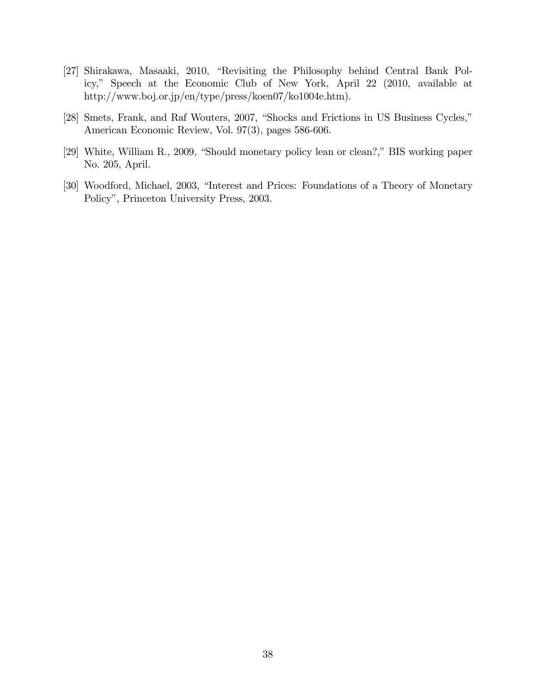- [27] Shirakawa, Masaaki, 2010, "Revisiting the Philosophy behind Central Bank Policy," Speech at the Economic Club of New York, April 22 (2010, available at http://www.boj.or.jp/en/type/press/koen07/ko1004e.htm).
- [28] Smets, Frank, and Raf Wouters, 2007, "Shocks and Frictions in US Business Cycles," American Economic Review, Vol. 97(3), pages 586-606.
- [29] White, William R., 2009, "Should monetary policy lean or clean?," BIS working paper No. 205, April.
- [30] Woodford, Michael, 2003, "Interest and Prices: Foundations of a Theory of Monetary Policyî, Princeton University Press, 2003.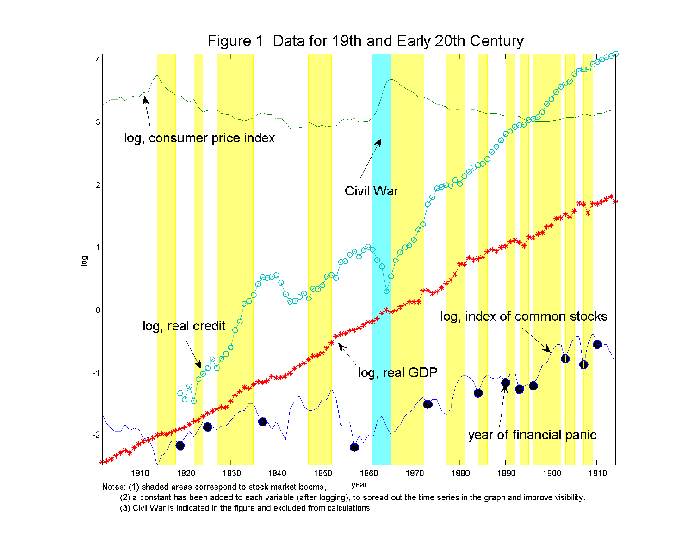

(2) a constant has been added to each variable (after logging), to spread out the time series in the graph and improve visibility.

(3) Civil War is indicated in the figure and excluded from calculations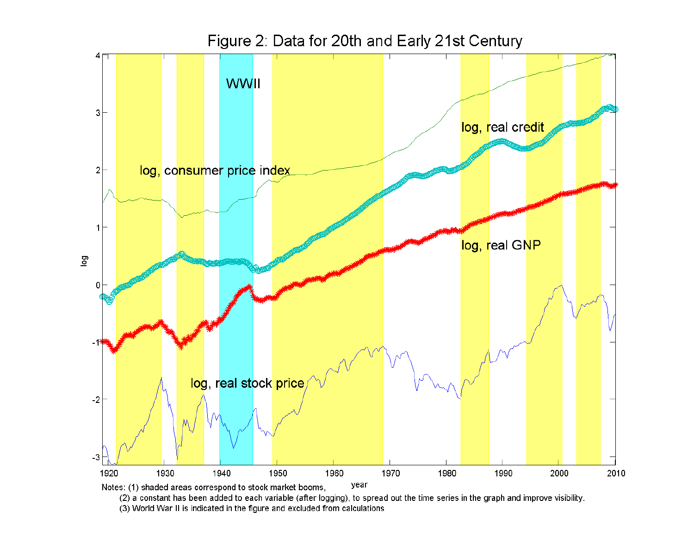

(2) a constant has been added to each variable (after logging), to spread out the time series in the graph and improve visibility.

(3) World War II is indicated in the figure and excluded from calculations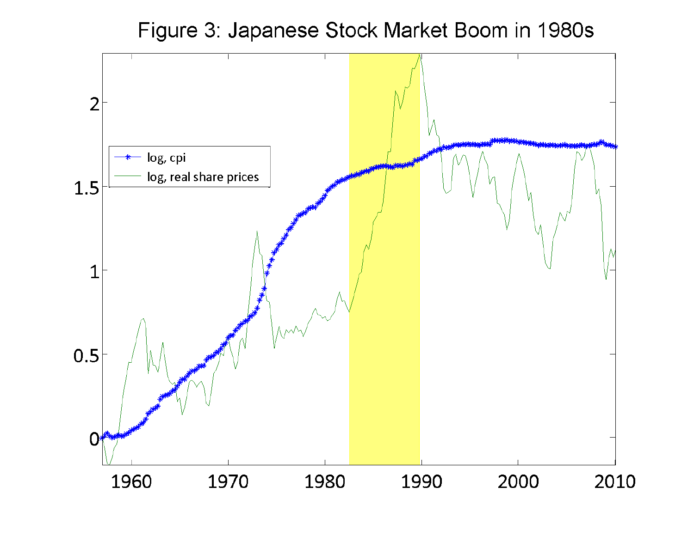Figure 3: Japanese Stock Market Boom in 1980s

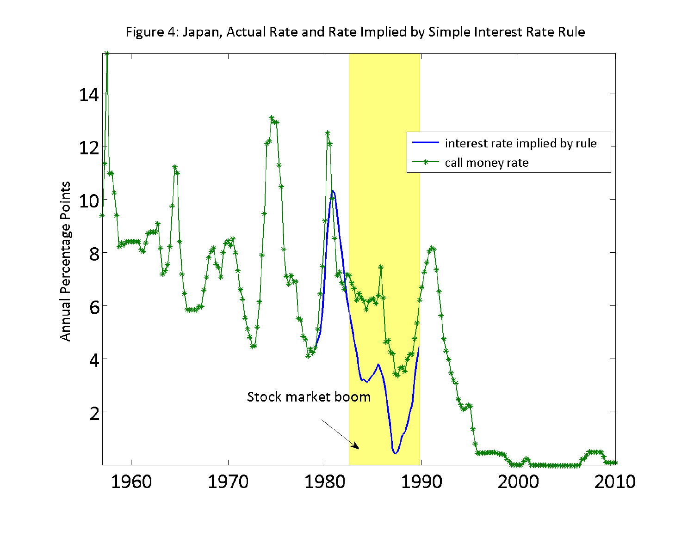

# Figure 4: Japan, Actual Rate and Rate Implied by Simple Interest Rate Rule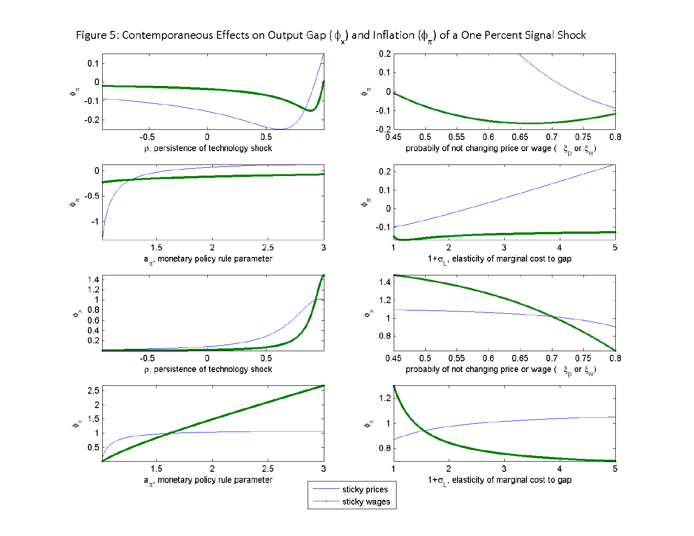

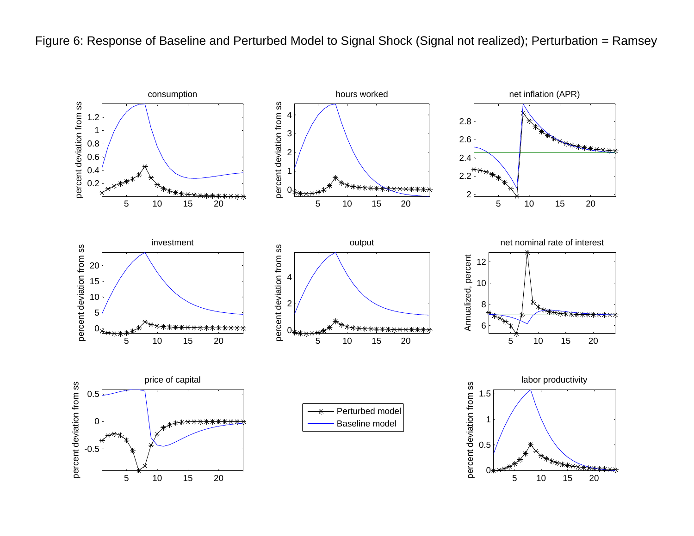Figure 6: Response of Baseline and Perturbed Model to Signal Shock (Signal not realized); Perturbation = Ramsey

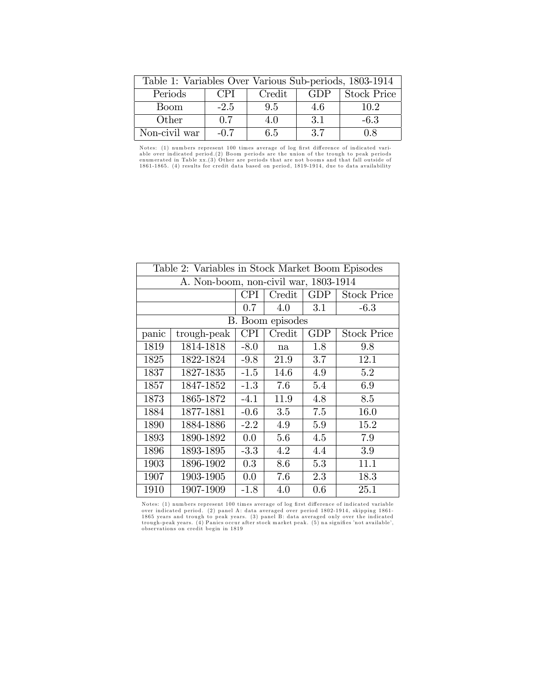| Table 1: Variables Over Various Sub-periods, 1803-1914 |                                                    |     |     |        |  |  |  |
|--------------------------------------------------------|----------------------------------------------------|-----|-----|--------|--|--|--|
| Periods                                                | <b>GDP</b><br>CPI.<br><b>Stock Price</b><br>Credit |     |     |        |  |  |  |
| <b>Boom</b>                                            | $-2.5$                                             | 95  | 4.6 | 102    |  |  |  |
| Other                                                  | 0.7                                                | 4.0 | 3.1 | $-6.3$ |  |  |  |
| Non-civil war                                          | $-0.7$                                             | 65  | 37  | 0.8    |  |  |  |

Notes: (1) numbers represent 100 times average of log first difference of indicated variable over indicated period.(2) Boom periods are the union of the trough to peak periods able over indicated periods are the union of t

| Table 2: Variables in Stock Market Boom Episodes |                  |            |        |            |                    |  |  |  |
|--------------------------------------------------|------------------|------------|--------|------------|--------------------|--|--|--|
| A. Non-boom, non-civil war, 1803-1914            |                  |            |        |            |                    |  |  |  |
|                                                  |                  | CPI.       | Credit | GDP        | <b>Stock Price</b> |  |  |  |
|                                                  |                  | 0.7        | 4.0    | 3.1        | $-6.3$             |  |  |  |
|                                                  | B. Boom episodes |            |        |            |                    |  |  |  |
| panic                                            | trough-peak      | <b>CPI</b> | Credit | <b>GDP</b> | <b>Stock Price</b> |  |  |  |
| 1819                                             | 1814-1818        | $-8.0$     | na     | 1.8        | 9.8                |  |  |  |
| 1825                                             | 1822-1824        | $-9.8$     | 21.9   | 3.7        | 12.1               |  |  |  |
| 1837                                             | 1827-1835        | $-1.5$     | 14.6   | 4.9        | 5.2                |  |  |  |
| 1857                                             | 1847-1852        | $-1.3$     | 7.6    | 5.4        | 6.9                |  |  |  |
| 1873                                             | 1865-1872        | $-4.1$     | 11.9   | 4.8        | 8.5                |  |  |  |
| 1884                                             | 1877-1881        | $-0.6$     | 3.5    | 7.5        | 16.0               |  |  |  |
| 1890                                             | 1884-1886        | $-2.2$     | 4.9    | 5.9        | 15.2               |  |  |  |
| 1893                                             | 1890-1892        | 0.0        | 5.6    | 4.5        | 7.9                |  |  |  |
| 1896                                             | 1893-1895        | $-3.3$     | 4.2    | 4.4        | 3.9                |  |  |  |
| 1903                                             | 1896-1902        | 0.3        | 8.6    | 5.3        | 11.1               |  |  |  |
| 1907                                             | 1903-1905        | 0.0        | 7.6    | 2.3        | 18.3               |  |  |  |
| 1910                                             | 1907-1909        | $-1.8$     | 4.0    | 0.6        | 25.1               |  |  |  |

Notes: (1) numbers represent 100 times average of log first difference of indicated variable<br>over indicated period. (2) panel A: data averaged over period 1802-1914, skipping 1861-<br>1865 years and trough to peak years. (3)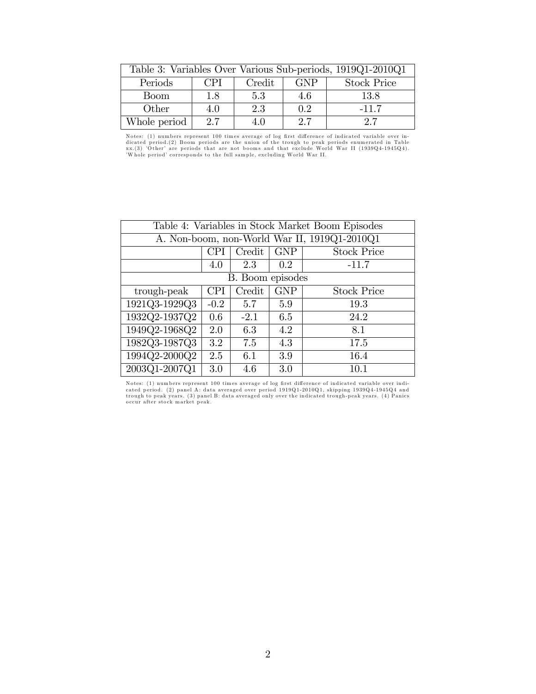| Table 3: Variables Over Various Sub-periods, 1919Q1-2010Q1 |            |        |            |                    |  |  |  |
|------------------------------------------------------------|------------|--------|------------|--------------------|--|--|--|
| Periods                                                    | <b>CPI</b> | Credit | <b>GNP</b> | <b>Stock Price</b> |  |  |  |
| <b>Boom</b>                                                | 1.8        | 5.3    | 4.6        | 13.8               |  |  |  |
| Other                                                      | 4.0        | 2.3    | 02         | $-11.7$            |  |  |  |
| Whole period                                               | 2.7        | 4.0    | 2.7        | 2.7                |  |  |  |

Notes: (1) numbers represent 100 times average of log first difference of indicated variable over in-<br>dicated period.(2) Boom periods are the union of the trough to peak periods enumerated in Table<br>xx.(3) 'Other' are perio

| Table 4: Variables in Stock Market Boom Episodes |                                                          |        |            |                    |  |  |  |  |
|--------------------------------------------------|----------------------------------------------------------|--------|------------|--------------------|--|--|--|--|
| A. Non-boom, non-World War II, 1919Q1-2010Q1     |                                                          |        |            |                    |  |  |  |  |
|                                                  | Credit<br><b>GNP</b><br><b>Stock Price</b><br><b>CPI</b> |        |            |                    |  |  |  |  |
|                                                  | 4.0                                                      | 2.3    | 0.2        | $-11.7$            |  |  |  |  |
| B. Boom episodes                                 |                                                          |        |            |                    |  |  |  |  |
| trough-peak                                      | <b>CPI</b>                                               | Credit | <b>GNP</b> | <b>Stock Price</b> |  |  |  |  |
| 1921Q3-1929Q3                                    | $-0.2$                                                   | 5.7    | 5.9        | 19.3               |  |  |  |  |
| 1932Q2-1937Q2                                    | 0.6                                                      | $-2.1$ | 6.5        | 24.2               |  |  |  |  |
| 1949Q2-1968Q2                                    | 2.0                                                      | 6.3    | 4.2        | 8.1                |  |  |  |  |
| 1982Q3-1987Q3                                    | 3.2                                                      | 7.5    | 4.3        | 17.5               |  |  |  |  |
| 1994Q2-2000Q2                                    | 2.5                                                      | 6.1    | 3.9        | 16.4               |  |  |  |  |
| 2003Q1-2007Q1                                    | 3.0                                                      | 4.6    | 3.0        | 10.1               |  |  |  |  |

Notes: (1) numbers represent 100 times average of log first difference of indicated variable over indicated period. (2) panel A: data averaged over period 1919Q1-2010Q1, skipping 1939Q4-1945Q4 and<br>trough to peak years. (3)